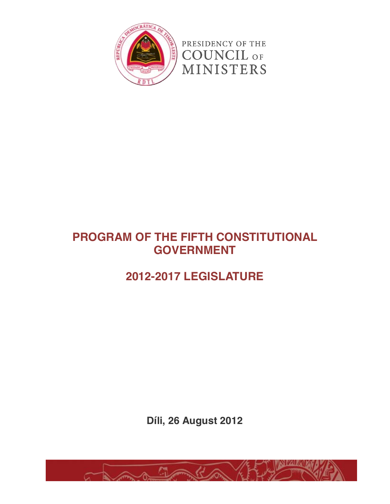

# **PROGRAM OF THE FIFTH CONSTITUTIONAL GOVERNMENT**

# **2012-2017 LEGISLATURE**

**Díli, 26 August 2012**

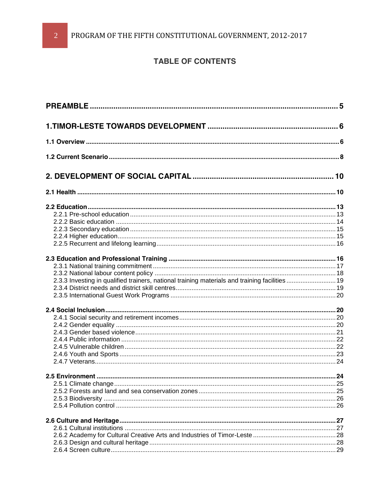## **TABLE OF CONTENTS**

| 2.3.3 Investing in qualified trainers, national training materials and training facilities 19 |  |
|-----------------------------------------------------------------------------------------------|--|
|                                                                                               |  |
|                                                                                               |  |
|                                                                                               |  |
|                                                                                               |  |
|                                                                                               |  |
|                                                                                               |  |
|                                                                                               |  |
|                                                                                               |  |
|                                                                                               |  |
|                                                                                               |  |
|                                                                                               |  |
|                                                                                               |  |
|                                                                                               |  |
|                                                                                               |  |
|                                                                                               |  |
|                                                                                               |  |
|                                                                                               |  |
|                                                                                               |  |
|                                                                                               |  |
|                                                                                               |  |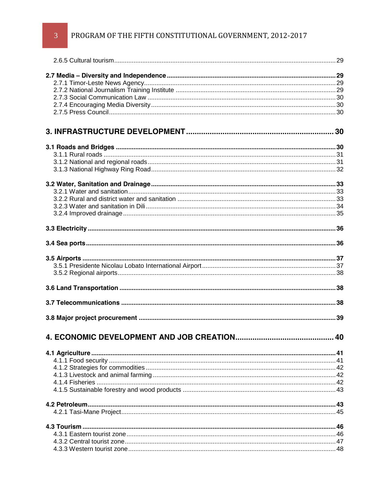# PROGRAM OF THE FIFTH CONSTITUTIONAL GOVERNMENT, 2012-2017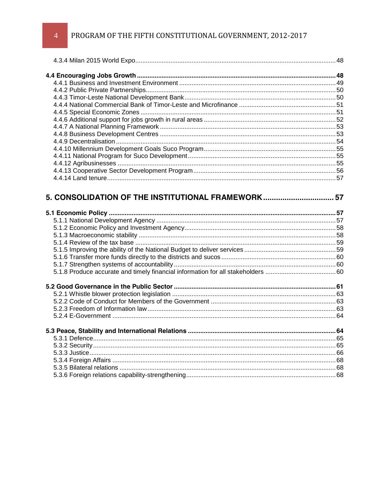PROGRAM OF THE FIFTH CONSTITUTIONAL GOVERNMENT, 2012-2017

| 5. CONSOLIDATION OF THE INSTITUTIONAL FRAMEWORK 57 |  |
|----------------------------------------------------|--|
|                                                    |  |
|                                                    |  |
|                                                    |  |
|                                                    |  |
|                                                    |  |
|                                                    |  |
|                                                    |  |
|                                                    |  |
|                                                    |  |
|                                                    |  |
|                                                    |  |
|                                                    |  |
|                                                    |  |
|                                                    |  |
|                                                    |  |
|                                                    |  |
|                                                    |  |
|                                                    |  |
|                                                    |  |
|                                                    |  |
|                                                    |  |
|                                                    |  |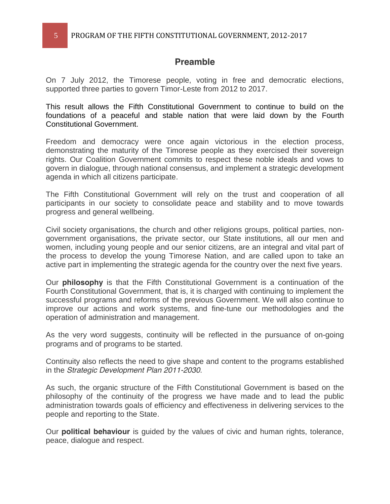### **Preamble**

On 7 July 2012, the Timorese people, voting in free and democratic elections, supported three parties to govern Timor-Leste from 2012 to 2017.

This result allows the Fifth Constitutional Government to continue to build on the foundations of a peaceful and stable nation that were laid down by the Fourth Constitutional Government.

Freedom and democracy were once again victorious in the election process, demonstrating the maturity of the Timorese people as they exercised their sovereign rights. Our Coalition Government commits to respect these noble ideals and vows to govern in dialogue, through national consensus, and implement a strategic development agenda in which all citizens participate.

The Fifth Constitutional Government will rely on the trust and cooperation of all participants in our society to consolidate peace and stability and to move towards progress and general wellbeing.

Civil society organisations, the church and other religions groups, political parties, nongovernment organisations, the private sector, our State institutions, all our men and women, including young people and our senior citizens, are an integral and vital part of the process to develop the young Timorese Nation, and are called upon to take an active part in implementing the strategic agenda for the country over the next five years.

Our **philosophy** is that the Fifth Constitutional Government is a continuation of the Fourth Constitutional Government, that is, it is charged with continuing to implement the successful programs and reforms of the previous Government. We will also continue to improve our actions and work systems, and fine-tune our methodologies and the operation of administration and management.

As the very word suggests, continuity will be reflected in the pursuance of on-going programs and of programs to be started.

Continuity also reflects the need to give shape and content to the programs established in the *Strategic Development Plan 2011-2030*.

As such, the organic structure of the Fifth Constitutional Government is based on the philosophy of the continuity of the progress we have made and to lead the public administration towards goals of efficiency and effectiveness in delivering services to the people and reporting to the State.

Our **political behaviour** is guided by the values of civic and human rights, tolerance, peace, dialogue and respect.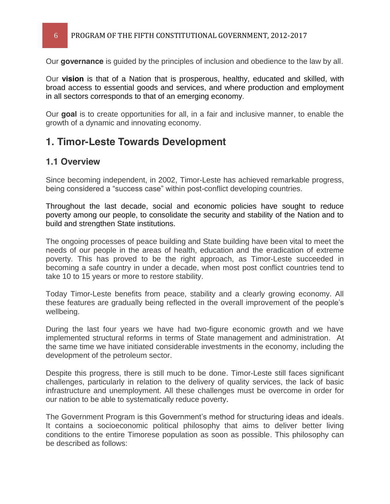### 6 PROGRAM OF THE FIFTH CONSTITUTIONAL GOVERNMENT, 2012-2017

Our **governance** is guided by the principles of inclusion and obedience to the law by all.

Our **vision** is that of a Nation that is prosperous, healthy, educated and skilled, with broad access to essential goods and services, and where production and employment in all sectors corresponds to that of an emerging economy.

Our **goal** is to create opportunities for all, in a fair and inclusive manner, to enable the growth of a dynamic and innovating economy.

# **1. Timor-Leste Towards Development**

### **1.1 Overview**

Since becoming independent, in 2002, Timor-Leste has achieved remarkable progress, being considered a "success case" within post-conflict developing countries.

Throughout the last decade, social and economic policies have sought to reduce poverty among our people, to consolidate the security and stability of the Nation and to build and strengthen State institutions.

The ongoing processes of peace building and State building have been vital to meet the needs of our people in the areas of health, education and the eradication of extreme poverty. This has proved to be the right approach, as Timor-Leste succeeded in becoming a safe country in under a decade, when most post conflict countries tend to take 10 to 15 years or more to restore stability.

Today Timor-Leste benefits from peace, stability and a clearly growing economy. All these features are gradually being reflected in the overall improvement of the people's wellbeing.

During the last four years we have had two-figure economic growth and we have implemented structural reforms in terms of State management and administration. At the same time we have initiated considerable investments in the economy, including the development of the petroleum sector.

Despite this progress, there is still much to be done. Timor-Leste still faces significant challenges, particularly in relation to the delivery of quality services, the lack of basic infrastructure and unemployment. All these challenges must be overcome in order for our nation to be able to systematically reduce poverty.

The Government Program is this Government's method for structuring ideas and ideals. It contains a socioeconomic political philosophy that aims to deliver better living conditions to the entire Timorese population as soon as possible. This philosophy can be described as follows: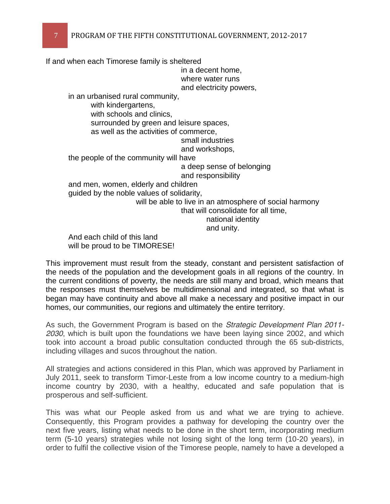If and when each Timorese family is sheltered in a decent home, where water runs and electricity powers, in an urbanised rural community, with kindergartens, with schools and clinics, surrounded by green and leisure spaces, as well as the activities of commerce, small industries and workshops, the people of the community will have a deep sense of belonging and responsibility and men, women, elderly and children guided by the noble values of solidarity, will be able to live in an atmosphere of social harmony that will consolidate for all time, national identity and unity. And each child of this land will be proud to be TIMORESE!

This improvement must result from the steady, constant and persistent satisfaction of the needs of the population and the development goals in all regions of the country. In the current conditions of poverty, the needs are still many and broad, which means that the responses must themselves be multidimensional and integrated, so that what is began may have continuity and above all make a necessary and positive impact in our homes, our communities, our regions and ultimately the entire territory.

As such, the Government Program is based on the *Strategic Development Plan 2011- 2030*, which is built upon the foundations we have been laying since 2002, and which took into account a broad public consultation conducted through the 65 sub-districts, including villages and sucos throughout the nation.

All strategies and actions considered in this Plan, which was approved by Parliament in July 2011, seek to transform Timor-Leste from a low income country to a medium-high income country by 2030, with a healthy, educated and safe population that is prosperous and self-sufficient.

This was what our People asked from us and what we are trying to achieve. Consequently, this Program provides a pathway for developing the country over the next five years, listing what needs to be done in the short term, incorporating medium term (5-10 years) strategies while not losing sight of the long term (10-20 years), in order to fulfil the collective vision of the Timorese people, namely to have a developed a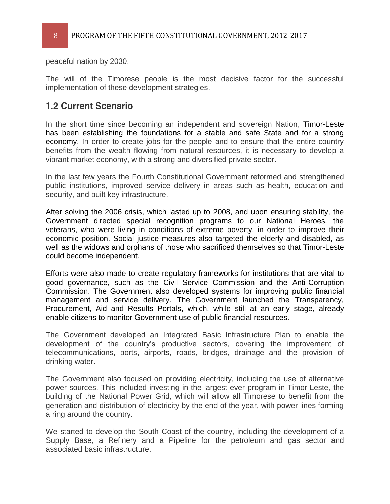8 PROGRAM OF THE FIFTH CONSTITUTIONAL GOVERNMENT, 2012-2017

peaceful nation by 2030.

The will of the Timorese people is the most decisive factor for the successful implementation of these development strategies.

### **1.2 Current Scenario**

In the short time since becoming an independent and sovereign Nation, Timor-Leste has been establishing the foundations for a stable and safe State and for a strong economy. In order to create jobs for the people and to ensure that the entire country benefits from the wealth flowing from natural resources, it is necessary to develop a vibrant market economy, with a strong and diversified private sector.

In the last few years the Fourth Constitutional Government reformed and strengthened public institutions, improved service delivery in areas such as health, education and security, and built key infrastructure.

After solving the 2006 crisis, which lasted up to 2008, and upon ensuring stability, the Government directed special recognition programs to our National Heroes, the veterans, who were living in conditions of extreme poverty, in order to improve their economic position. Social justice measures also targeted the elderly and disabled, as well as the widows and orphans of those who sacrificed themselves so that Timor-Leste could become independent.

Efforts were also made to create regulatory frameworks for institutions that are vital to good governance, such as the Civil Service Commission and the Anti-Corruption Commission. The Government also developed systems for improving public financial management and service delivery. The Government launched the Transparency, Procurement, Aid and Results Portals, which, while still at an early stage, already enable citizens to monitor Government use of public financial resources.

The Government developed an Integrated Basic Infrastructure Plan to enable the development of the country's productive sectors, covering the improvement of telecommunications, ports, airports, roads, bridges, drainage and the provision of drinking water.

The Government also focused on providing electricity, including the use of alternative power sources. This included investing in the largest ever program in Timor-Leste, the building of the National Power Grid, which will allow all Timorese to benefit from the generation and distribution of electricity by the end of the year, with power lines forming a ring around the country.

We started to develop the South Coast of the country, including the development of a Supply Base, a Refinery and a Pipeline for the petroleum and gas sector and associated basic infrastructure.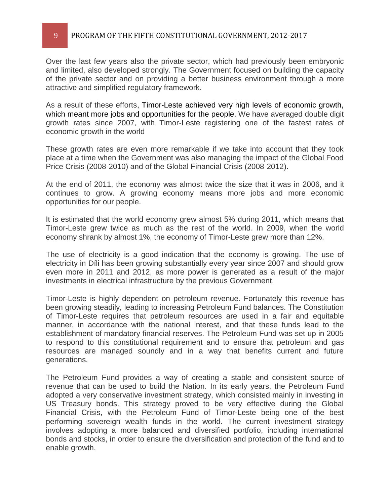#### 9 PROGRAM OF THE FIFTH CONSTITUTIONAL GOVERNMENT, 2012-2017

Over the last few years also the private sector, which had previously been embryonic and limited, also developed strongly. The Government focused on building the capacity of the private sector and on providing a better business environment through a more attractive and simplified regulatory framework.

As a result of these efforts, Timor-Leste achieved very high levels of economic growth, which meant more jobs and opportunities for the people. We have averaged double digit growth rates since 2007, with Timor-Leste registering one of the fastest rates of economic growth in the world

These growth rates are even more remarkable if we take into account that they took place at a time when the Government was also managing the impact of the Global Food Price Crisis (2008-2010) and of the Global Financial Crisis (2008-2012).

At the end of 2011, the economy was almost twice the size that it was in 2006, and it continues to grow. A growing economy means more jobs and more economic opportunities for our people.

It is estimated that the world economy grew almost 5% during 2011, which means that Timor-Leste grew twice as much as the rest of the world. In 2009, when the world economy shrank by almost 1%, the economy of Timor-Leste grew more than 12%.

The use of electricity is a good indication that the economy is growing. The use of electricity in Díli has been growing substantially every year since 2007 and should grow even more in 2011 and 2012, as more power is generated as a result of the major investments in electrical infrastructure by the previous Government.

Timor-Leste is highly dependent on petroleum revenue. Fortunately this revenue has been growing steadily, leading to increasing Petroleum Fund balances. The Constitution of Timor-Leste requires that petroleum resources are used in a fair and equitable manner, in accordance with the national interest, and that these funds lead to the establishment of mandatory financial reserves. The Petroleum Fund was set up in 2005 to respond to this constitutional requirement and to ensure that petroleum and gas resources are managed soundly and in a way that benefits current and future generations.

The Petroleum Fund provides a way of creating a stable and consistent source of revenue that can be used to build the Nation. In its early years, the Petroleum Fund adopted a very conservative investment strategy, which consisted mainly in investing in US Treasury bonds. This strategy proved to be very effective during the Global Financial Crisis, with the Petroleum Fund of Timor-Leste being one of the best performing sovereign wealth funds in the world. The current investment strategy involves adopting a more balanced and diversified portfolio, including international bonds and stocks, in order to ensure the diversification and protection of the fund and to enable growth.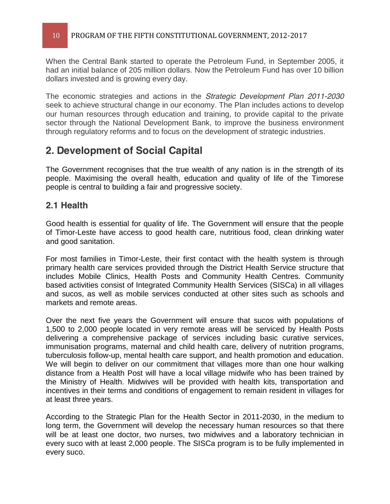When the Central Bank started to operate the Petroleum Fund, in September 2005, it had an initial balance of 205 million dollars. Now the Petroleum Fund has over 10 billion dollars invested and is growing every day.

The economic strategies and actions in the *Strategic Development Plan 2011-2030* seek to achieve structural change in our economy. The Plan includes actions to develop our human resources through education and training, to provide capital to the private sector through the National Development Bank, to improve the business environment through regulatory reforms and to focus on the development of strategic industries.

# **2. Development of Social Capital**

The Government recognises that the true wealth of any nation is in the strength of its people. Maximising the overall health, education and quality of life of the Timorese people is central to building a fair and progressive society.

### **2.1 Health**

Good health is essential for quality of life. The Government will ensure that the people of Timor-Leste have access to good health care, nutritious food, clean drinking water and good sanitation.

For most families in Timor-Leste, their first contact with the health system is through primary health care services provided through the District Health Service structure that includes Mobile Clinics, Health Posts and Community Health Centres. Community based activities consist of Integrated Community Health Services (SISCa) in all villages and sucos, as well as mobile services conducted at other sites such as schools and markets and remote areas.

Over the next five years the Government will ensure that sucos with populations of 1,500 to 2,000 people located in very remote areas will be serviced by Health Posts delivering a comprehensive package of services including basic curative services, immunisation programs, maternal and child health care, delivery of nutrition programs, tuberculosis follow-up, mental health care support, and health promotion and education. We will begin to deliver on our commitment that villages more than one hour walking distance from a Health Post will have a local village midwife who has been trained by the Ministry of Health. Midwives will be provided with health kits, transportation and incentives in their terms and conditions of engagement to remain resident in villages for at least three years.

According to the Strategic Plan for the Health Sector in 2011-2030, in the medium to long term, the Government will develop the necessary human resources so that there will be at least one doctor, two nurses, two midwives and a laboratory technician in every suco with at least 2,000 people. The SISCa program is to be fully implemented in every suco.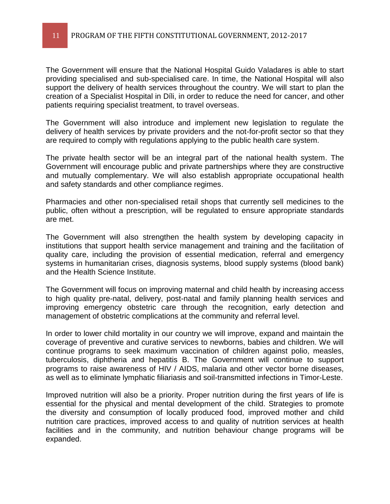The Government will ensure that the National Hospital Guido Valadares is able to start providing specialised and sub-specialised care. In time, the National Hospital will also support the delivery of health services throughout the country. We will start to plan the creation of a Specialist Hospital in Díli, in order to reduce the need for cancer, and other patients requiring specialist treatment, to travel overseas.

The Government will also introduce and implement new legislation to regulate the delivery of health services by private providers and the not-for-profit sector so that they are required to comply with regulations applying to the public health care system.

The private health sector will be an integral part of the national health system. The Government will encourage public and private partnerships where they are constructive and mutually complementary. We will also establish appropriate occupational health and safety standards and other compliance regimes.

Pharmacies and other non-specialised retail shops that currently sell medicines to the public, often without a prescription, will be regulated to ensure appropriate standards are met.

The Government will also strengthen the health system by developing capacity in institutions that support health service management and training and the facilitation of quality care, including the provision of essential medication, referral and emergency systems in humanitarian crises, diagnosis systems, blood supply systems (blood bank) and the Health Science Institute.

The Government will focus on improving maternal and child health by increasing access to high quality pre-natal, delivery, post-natal and family planning health services and improving emergency obstetric care through the recognition, early detection and management of obstetric complications at the community and referral level.

In order to lower child mortality in our country we will improve, expand and maintain the coverage of preventive and curative services to newborns, babies and children. We will continue programs to seek maximum vaccination of children against polio, measles, tuberculosis, diphtheria and hepatitis B. The Government will continue to support programs to raise awareness of HIV / AIDS, malaria and other vector borne diseases, as well as to eliminate lymphatic filiariasis and soil-transmitted infections in Timor-Leste.

Improved nutrition will also be a priority. Proper nutrition during the first years of life is essential for the physical and mental development of the child. Strategies to promote the diversity and consumption of locally produced food, improved mother and child nutrition care practices, improved access to and quality of nutrition services at health facilities and in the community, and nutrition behaviour change programs will be expanded.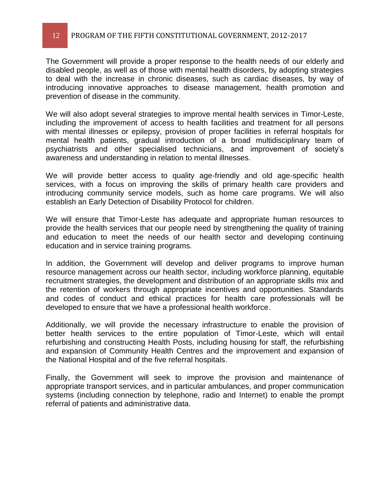The Government will provide a proper response to the health needs of our elderly and disabled people, as well as of those with mental health disorders, by adopting strategies to deal with the increase in chronic diseases, such as cardiac diseases, by way of introducing innovative approaches to disease management, health promotion and prevention of disease in the community.

We will also adopt several strategies to improve mental health services in Timor-Leste, including the improvement of access to health facilities and treatment for all persons with mental illnesses or epilepsy, provision of proper facilities in referral hospitals for mental health patients, gradual introduction of a broad multidisciplinary team of psychiatrists and other specialised technicians, and improvement of society's awareness and understanding in relation to mental illnesses.

We will provide better access to quality age-friendly and old age-specific health services, with a focus on improving the skills of primary health care providers and introducing community service models, such as home care programs. We will also establish an Early Detection of Disability Protocol for children.

We will ensure that Timor-Leste has adequate and appropriate human resources to provide the health services that our people need by strengthening the quality of training and education to meet the needs of our health sector and developing continuing education and in service training programs.

In addition, the Government will develop and deliver programs to improve human resource management across our health sector, including workforce planning, equitable recruitment strategies, the development and distribution of an appropriate skills mix and the retention of workers through appropriate incentives and opportunities. Standards and codes of conduct and ethical practices for health care professionals will be developed to ensure that we have a professional health workforce.

Additionally, we will provide the necessary infrastructure to enable the provision of better health services to the entire population of Timor-Leste, which will entail refurbishing and constructing Health Posts, including housing for staff, the refurbishing and expansion of Community Health Centres and the improvement and expansion of the National Hospital and of the five referral hospitals.

Finally, the Government will seek to improve the provision and maintenance of appropriate transport services, and in particular ambulances, and proper communication systems (including connection by telephone, radio and Internet) to enable the prompt referral of patients and administrative data.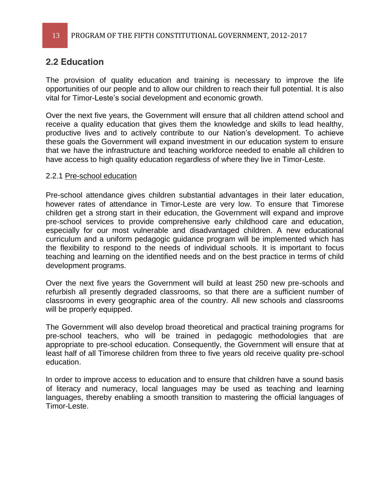### **2.2 Education**

The provision of quality education and training is necessary to improve the life opportunities of our people and to allow our children to reach their full potential. It is also vital for Timor-Leste's social development and economic growth.

Over the next five years, the Government will ensure that all children attend school and receive a quality education that gives them the knowledge and skills to lead healthy, productive lives and to actively contribute to our Nation's development. To achieve these goals the Government will expand investment in our education system to ensure that we have the infrastructure and teaching workforce needed to enable all children to have access to high quality education regardless of where they live in Timor-Leste.

#### 2.2.1 Pre-school education

Pre-school attendance gives children substantial advantages in their later education, however rates of attendance in Timor-Leste are very low. To ensure that Timorese children get a strong start in their education, the Government will expand and improve pre-school services to provide comprehensive early childhood care and education, especially for our most vulnerable and disadvantaged children. A new educational curriculum and a uniform pedagogic guidance program will be implemented which has the flexibility to respond to the needs of individual schools. It is important to focus teaching and learning on the identified needs and on the best practice in terms of child development programs.

Over the next five years the Government will build at least 250 new pre-schools and refurbish all presently degraded classrooms, so that there are a sufficient number of classrooms in every geographic area of the country. All new schools and classrooms will be properly equipped.

The Government will also develop broad theoretical and practical training programs for pre-school teachers, who will be trained in pedagogic methodologies that are appropriate to pre-school education. Consequently, the Government will ensure that at least half of all Timorese children from three to five years old receive quality pre-school education.

In order to improve access to education and to ensure that children have a sound basis of literacy and numeracy, local languages may be used as teaching and learning languages, thereby enabling a smooth transition to mastering the official languages of Timor-Leste.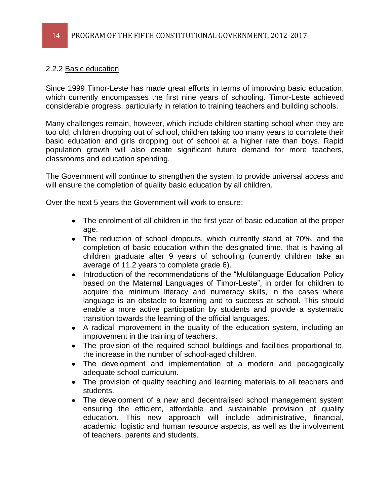### 2.2.2 Basic education

Since 1999 Timor-Leste has made great efforts in terms of improving basic education, which currently encompasses the first nine years of schooling. Timor-Leste achieved considerable progress, particularly in relation to training teachers and building schools.

Many challenges remain, however, which include children starting school when they are too old, children dropping out of school, children taking too many years to complete their basic education and girls dropping out of school at a higher rate than boys. Rapid population growth will also create significant future demand for more teachers, classrooms and education spending.

The Government will continue to strengthen the system to provide universal access and will ensure the completion of quality basic education by all children.

Over the next 5 years the Government will work to ensure:

- The enrolment of all children in the first year of basic education at the proper age.
- The reduction of school dropouts, which currently stand at 70%, and the completion of basic education within the designated time, that is having all children graduate after 9 years of schooling (currently children take an average of 11.2 years to complete grade 6).
- Introduction of the recommendations of the "Multilanguage Education Policy  $\bullet$ based on the Maternal Languages of Timor-Leste", in order for children to acquire the minimum literacy and numeracy skills, in the cases where language is an obstacle to learning and to success at school. This should enable a more active participation by students and provide a systematic transition towards the learning of the official languages.
- A radical improvement in the quality of the education system, including an improvement in the training of teachers.
- The provision of the required school buildings and facilities proportional to, the increase in the number of school-aged children.
- The development and implementation of a modern and pedagogically  $\bullet$ adequate school curriculum.
- The provision of quality teaching and learning materials to all teachers and students.
- The development of a new and decentralised school management system ensuring the efficient, affordable and sustainable provision of quality education. This new approach will include administrative, financial, academic, logistic and human resource aspects, as well as the involvement of teachers, parents and students.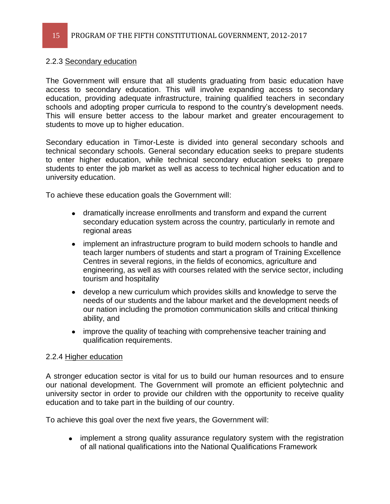### 2.2.3 Secondary education

The Government will ensure that all students graduating from basic education have access to secondary education. This will involve expanding access to secondary education, providing adequate infrastructure, training qualified teachers in secondary schools and adopting proper curricula to respond to the country's development needs. This will ensure better access to the labour market and greater encouragement to students to move up to higher education.

Secondary education in Timor-Leste is divided into general secondary schools and technical secondary schools. General secondary education seeks to prepare students to enter higher education, while technical secondary education seeks to prepare students to enter the job market as well as access to technical higher education and to university education.

To achieve these education goals the Government will:

- dramatically increase enrollments and transform and expand the current secondary education system across the country, particularly in remote and regional areas
- implement an infrastructure program to build modern schools to handle and  $\bullet$ teach larger numbers of students and start a program of Training Excellence Centres in several regions, in the fields of economics, agriculture and engineering, as well as with courses related with the service sector, including tourism and hospitality
- develop a new curriculum which provides skills and knowledge to serve the needs of our students and the labour market and the development needs of our nation including the promotion communication skills and critical thinking ability, and
- improve the quality of teaching with comprehensive teacher training and qualification requirements.

### 2.2.4 Higher education

A stronger education sector is vital for us to build our human resources and to ensure our national development. The Government will promote an efficient polytechnic and university sector in order to provide our children with the opportunity to receive quality education and to take part in the building of our country.

To achieve this goal over the next five years, the Government will:

• implement a strong quality assurance regulatory system with the registration of all national qualifications into the National Qualifications Framework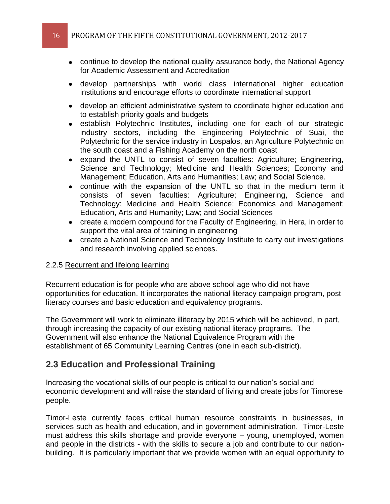- continue to develop the national quality assurance body, the National Agency for Academic Assessment and Accreditation
- develop partnerships with world class international higher education institutions and encourage efforts to coordinate international support
- develop an efficient administrative system to coordinate higher education and to establish priority goals and budgets
- establish Polytechnic Institutes, including one for each of our strategic industry sectors, including the Engineering Polytechnic of Suai, the Polytechnic for the service industry in Lospalos, an Agriculture Polytechnic on the south coast and a Fishing Academy on the north coast
- expand the UNTL to consist of seven faculties: Agriculture; Engineering, Science and Technology; Medicine and Health Sciences; Economy and Management; Education, Arts and Humanities; Law; and Social Science.
- continue with the expansion of the UNTL so that in the medium term it consists of seven faculties: Agriculture; Engineering, Science and Technology; Medicine and Health Science; Economics and Management; Education, Arts and Humanity; Law; and Social Sciences
- create a modern compound for the Faculty of Engineering, in Hera, in order to support the vital area of training in engineering
- create a National Science and Technology Institute to carry out investigations and research involving applied sciences.

### 2.2.5 Recurrent and lifelong learning

Recurrent education is for people who are above school age who did not have opportunities for education. It incorporates the national literacy campaign program, postliteracy courses and basic education and equivalency programs.

The Government will work to eliminate illiteracy by 2015 which will be achieved, in part, through increasing the capacity of our existing national literacy programs. The Government will also enhance the National Equivalence Program with the establishment of 65 Community Learning Centres (one in each sub-district).

### **2.3 Education and Professional Training**

Increasing the vocational skills of our people is critical to our nation's social and economic development and will raise the standard of living and create jobs for Timorese people.

Timor-Leste currently faces critical human resource constraints in businesses, in services such as health and education, and in government administration. Timor-Leste must address this skills shortage and provide everyone  $-$  young, unemployed, women and people in the districts - with the skills to secure a job and contribute to our nationbuilding. It is particularly important that we provide women with an equal opportunity to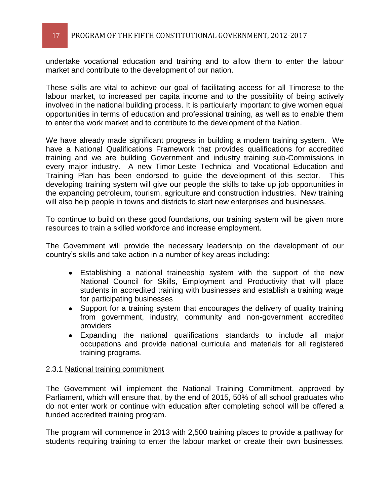undertake vocational education and training and to allow them to enter the labour market and contribute to the development of our nation.

These skills are vital to achieve our goal of facilitating access for all Timorese to the labour market, to increased per capita income and to the possibility of being actively involved in the national building process. It is particularly important to give women equal opportunities in terms of education and professional training, as well as to enable them to enter the work market and to contribute to the development of the Nation.

We have already made significant progress in building a modern training system. We have a National Qualifications Framework that provides qualifications for accredited training and we are building Government and industry training sub-Commissions in every major industry. A new Timor-Leste Technical and Vocational Education and Training Plan has been endorsed to guide the development of this sector. This developing training system will give our people the skills to take up job opportunities in the expanding petroleum, tourism, agriculture and construction industries. New training will also help people in towns and districts to start new enterprises and businesses.

To continue to build on these good foundations, our training system will be given more resources to train a skilled workforce and increase employment.

The Government will provide the necessary leadership on the development of our country's skills and take action in a number of key areas including:

- Establishing a national traineeship system with the support of the new National Council for Skills, Employment and Productivity that will place students in accredited training with businesses and establish a training wage for participating businesses
- Support for a training system that encourages the delivery of quality training from government, industry, community and non-government accredited providers
- Expanding the national qualifications standards to include all major occupations and provide national curricula and materials for all registered training programs.

### 2.3.1 National training commitment

The Government will implement the National Training Commitment, approved by Parliament, which will ensure that, by the end of 2015, 50% of all school graduates who do not enter work or continue with education after completing school will be offered a funded accredited training program.

The program will commence in 2013 with 2,500 training places to provide a pathway for students requiring training to enter the labour market or create their own businesses.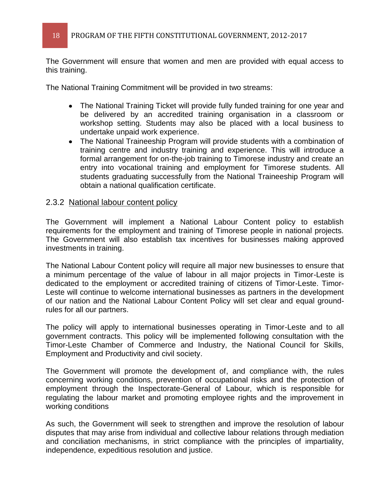The Government will ensure that women and men are provided with equal access to this training.

The National Training Commitment will be provided in two streams:

- The National Training Ticket will provide fully funded training for one year and be delivered by an accredited training organisation in a classroom or workshop setting. Students may also be placed with a local business to undertake unpaid work experience.
- The National Traineeship Program will provide students with a combination of training centre and industry training and experience. This will introduce a formal arrangement for on-the-job training to Timorese industry and create an entry into vocational training and employment for Timorese students. All students graduating successfully from the National Traineeship Program will obtain a national qualification certificate.

### 2.3.2 National labour content policy

The Government will implement a National Labour Content policy to establish requirements for the employment and training of Timorese people in national projects. The Government will also establish tax incentives for businesses making approved investments in training.

The National Labour Content policy will require all major new businesses to ensure that a minimum percentage of the value of labour in all major projects in Timor-Leste is dedicated to the employment or accredited training of citizens of Timor-Leste. Timor-Leste will continue to welcome international businesses as partners in the development of our nation and the National Labour Content Policy will set clear and equal groundrules for all our partners.

The policy will apply to international businesses operating in Timor-Leste and to all government contracts. This policy will be implemented following consultation with the Timor-Leste Chamber of Commerce and Industry, the National Council for Skills, Employment and Productivity and civil society.

The Government will promote the development of, and compliance with, the rules concerning working conditions, prevention of occupational risks and the protection of employment through the Inspectorate-General of Labour, which is responsible for regulating the labour market and promoting employee rights and the improvement in working conditions

As such, the Government will seek to strengthen and improve the resolution of labour disputes that may arise from individual and collective labour relations through mediation and conciliation mechanisms, in strict compliance with the principles of impartiality, independence, expeditious resolution and justice.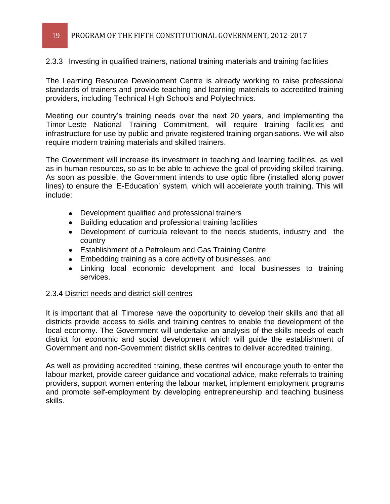### 2.3.3 Investing in qualified trainers, national training materials and training facilities

The Learning Resource Development Centre is already working to raise professional standards of trainers and provide teaching and learning materials to accredited training providers, including Technical High Schools and Polytechnics.

Meeting our country's training needs over the next 20 years, and implementing the Timor-Leste National Training Commitment, will require training facilities and infrastructure for use by public and private registered training organisations. We will also require modern training materials and skilled trainers.

The Government will increase its investment in teaching and learning facilities, as well as in human resources, so as to be able to achieve the goal of providing skilled training. As soon as possible, the Government intends to use optic fibre (installed along power lines) to ensure the 'E-Education' system, which will accelerate youth training. This will include:

- Development qualified and professional trainers
- Building education and professional training facilities
- Development of curricula relevant to the needs students, industry and the country
- Establishment of a Petroleum and Gas Training Centre
- Embedding training as a core activity of businesses, and
- Linking local economic development and local businesses to training services.

### 2.3.4 District needs and district skill centres

It is important that all Timorese have the opportunity to develop their skills and that all districts provide access to skills and training centres to enable the development of the local economy. The Government will undertake an analysis of the skills needs of each district for economic and social development which will guide the establishment of Government and non-Government district skills centres to deliver accredited training.

As well as providing accredited training, these centres will encourage youth to enter the labour market, provide career guidance and vocational advice, make referrals to training providers, support women entering the labour market, implement employment programs and promote self-employment by developing entrepreneurship and teaching business skills.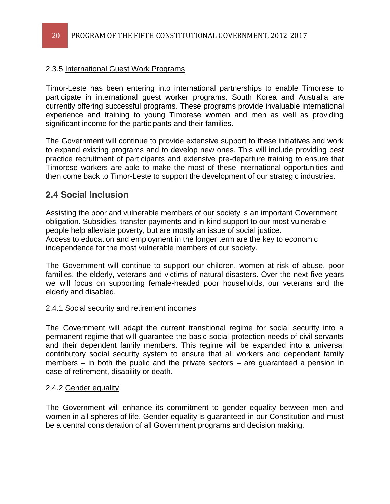### 2.3.5 International Guest Work Programs

Timor-Leste has been entering into international partnerships to enable Timorese to participate in international guest worker programs. South Korea and Australia are currently offering successful programs. These programs provide invaluable international experience and training to young Timorese women and men as well as providing significant income for the participants and their families.

The Government will continue to provide extensive support to these initiatives and work to expand existing programs and to develop new ones. This will include providing best practice recruitment of participants and extensive pre-departure training to ensure that Timorese workers are able to make the most of these international opportunities and then come back to Timor-Leste to support the development of our strategic industries.

### **2.4 Social Inclusion**

Assisting the poor and vulnerable members of our society is an important Government obligation. Subsidies, transfer payments and in-kind support to our most vulnerable people help alleviate poverty, but are mostly an issue of social justice. Access to education and employment in the longer term are the key to economic independence for the most vulnerable members of our society.

The Government will continue to support our children, women at risk of abuse, poor families, the elderly, veterans and victims of natural disasters. Over the next five years we will focus on supporting female-headed poor households, our veterans and the elderly and disabled.

### 2.4.1 Social security and retirement incomes

The Government will adapt the current transitional regime for social security into a permanent regime that will guarantee the basic social protection needs of civil servants and their dependent family members. This regime will be expanded into a universal contributory social security system to ensure that all workers and dependent family members  $-$  in both the public and the private sectors  $-$  are quaranteed a pension in case of retirement, disability or death.

### 2.4.2 Gender equality

The Government will enhance its commitment to gender equality between men and women in all spheres of life. Gender equality is guaranteed in our Constitution and must be a central consideration of all Government programs and decision making.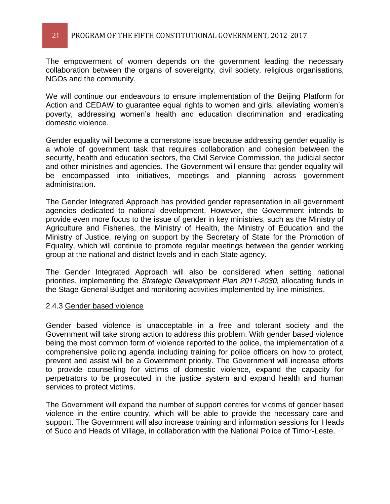### 21 PROGRAM OF THE FIFTH CONSTITUTIONAL GOVERNMENT, 2012-2017

The empowerment of women depends on the government leading the necessary collaboration between the organs of sovereignty, civil society, religious organisations, NGOs and the community.

We will continue our endeavours to ensure implementation of the Beijing Platform for Action and CEDAW to guarantee equal rights to women and girls, alleviating women's poverty, addressing women's health and education discrimination and eradicating domestic violence.

Gender equality will become a cornerstone issue because addressing gender equality is a whole of government task that requires collaboration and cohesion between the security, health and education sectors, the Civil Service Commission, the judicial sector and other ministries and agencies. The Government will ensure that gender equality will be encompassed into initiatives, meetings and planning across government administration.

The Gender Integrated Approach has provided gender representation in all government agencies dedicated to national development. However, the Government intends to provide even more focus to the issue of gender in key ministries, such as the Ministry of Agriculture and Fisheries, the Ministry of Health, the Ministry of Education and the Ministry of Justice, relying on support by the Secretary of State for the Promotion of Equality, which will continue to promote regular meetings between the gender working group at the national and district levels and in each State agency.

The Gender Integrated Approach will also be considered when setting national priorities, implementing the *Strategic Development Plan 2011-2030*, allocating funds in the Stage General Budget and monitoring activities implemented by line ministries.

### 2.4.3 Gender based violence

Gender based violence is unacceptable in a free and tolerant society and the Government will take strong action to address this problem. With gender based violence being the most common form of violence reported to the police, the implementation of a comprehensive policing agenda including training for police officers on how to protect, prevent and assist will be a Government priority. The Government will increase efforts to provide counselling for victims of domestic violence, expand the capacity for perpetrators to be prosecuted in the justice system and expand health and human services to protect victims.

The Government will expand the number of support centres for victims of gender based violence in the entire country, which will be able to provide the necessary care and support. The Government will also increase training and information sessions for Heads of Suco and Heads of Village, in collaboration with the National Police of Timor-Leste.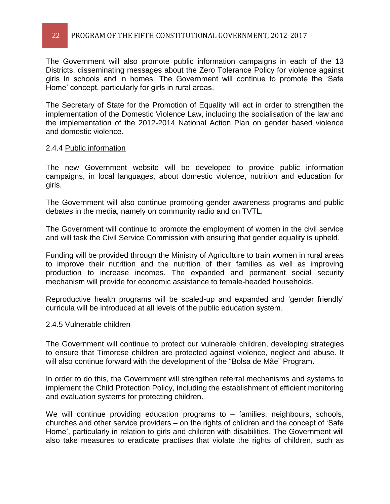### 22 PROGRAM OF THE FIFTH CONSTITUTIONAL GOVERNMENT, 2012-2017

The Government will also promote public information campaigns in each of the 13 Districts, disseminating messages about the Zero Tolerance Policy for violence against girls in schools and in homes. The Government will continue to promote the 'Safe Home' concept, particularly for girls in rural areas.

The Secretary of State for the Promotion of Equality will act in order to strengthen the implementation of the Domestic Violence Law, including the socialisation of the law and the implementation of the 2012-2014 National Action Plan on gender based violence and domestic violence.

#### 2.4.4 Public information

The new Government website will be developed to provide public information campaigns, in local languages, about domestic violence, nutrition and education for girls.

The Government will also continue promoting gender awareness programs and public debates in the media, namely on community radio and on TVTL.

The Government will continue to promote the employment of women in the civil service and will task the Civil Service Commission with ensuring that gender equality is upheld.

Funding will be provided through the Ministry of Agriculture to train women in rural areas to improve their nutrition and the nutrition of their families as well as improving production to increase incomes. The expanded and permanent social security mechanism will provide for economic assistance to female-headed households.

Reproductive health programs will be scaled-up and expanded and 'gender friendly' curricula will be introduced at all levels of the public education system.

#### 2.4.5 Vulnerable children

The Government will continue to protect our vulnerable children, developing strategies to ensure that Timorese children are protected against violence, neglect and abuse. It will also continue forward with the development of the "Bolsa de Mãe" Program.

In order to do this, the Government will strengthen referral mechanisms and systems to implement the Child Protection Policy, including the establishment of efficient monitoring and evaluation systems for protecting children.

We will continue providing education programs to  $-$  families, neighbours, schools, churches and other service providers  $-$  on the rights of children and the concept of 'Safe Home', particularly in relation to girls and children with disabilities. The Government will also take measures to eradicate practises that violate the rights of children, such as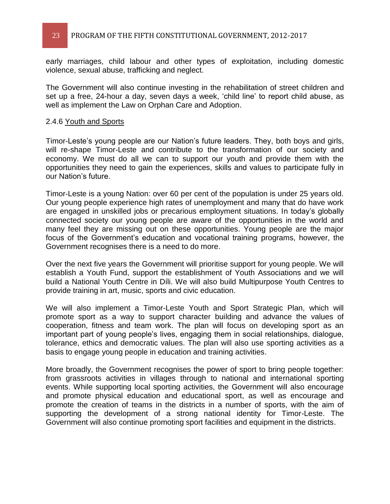early marriages, child labour and other types of exploitation, including domestic violence, sexual abuse, trafficking and neglect.

The Government will also continue investing in the rehabilitation of street children and set up a free, 24-hour a day, seven days a week, 'child line' to report child abuse, as well as implement the Law on Orphan Care and Adoption.

#### 2.4.6 Youth and Sports

Timor-Leste's young people are our Nation's future leaders. They, both boys and girls, will re-shape Timor-Leste and contribute to the transformation of our society and economy. We must do all we can to support our youth and provide them with the opportunities they need to gain the experiences, skills and values to participate fully in our Nation's future.

Timor-Leste is a young Nation: over 60 per cent of the population is under 25 years old. Our young people experience high rates of unemployment and many that do have work are engaged in unskilled jobs or precarious employment situations. In today's globally connected society our young people are aware of the opportunities in the world and many feel they are missing out on these opportunities. Young people are the major focus of the Government's education and vocational training programs, however, the Government recognises there is a need to do more.

Over the next five years the Government will prioritise support for young people. We will establish a Youth Fund, support the establishment of Youth Associations and we will build a National Youth Centre in Díli. We will also build Multipurpose Youth Centres to provide training in art, music, sports and civic education.

We will also implement a Timor-Leste Youth and Sport Strategic Plan, which will promote sport as a way to support character building and advance the values of cooperation, fitness and team work. The plan will focus on developing sport as an important part of young people's lives, engaging them in social relationships, dialogue, tolerance, ethics and democratic values. The plan will also use sporting activities as a basis to engage young people in education and training activities.

More broadly, the Government recognises the power of sport to bring people together: from grassroots activities in villages through to national and international sporting events. While supporting local sporting activities, the Government will also encourage and promote physical education and educational sport, as well as encourage and promote the creation of teams in the districts in a number of sports, with the aim of supporting the development of a strong national identity for Timor-Leste. The Government will also continue promoting sport facilities and equipment in the districts.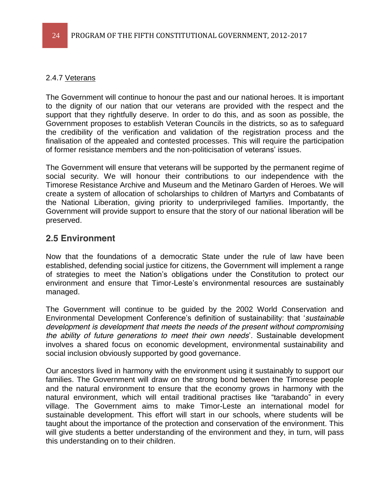### 2.4.7 Veterans

The Government will continue to honour the past and our national heroes. It is important to the dignity of our nation that our veterans are provided with the respect and the support that they rightfully deserve. In order to do this, and as soon as possible, the Government proposes to establish Veteran Councils in the districts, so as to safeguard the credibility of the verification and validation of the registration process and the finalisation of the appealed and contested processes. This will require the participation of former resistance members and the non-politicisation of veterans' issues.

The Government will ensure that veterans will be supported by the permanent regime of social security. We will honour their contributions to our independence with the Timorese Resistance Archive and Museum and the Metinaro Garden of Heroes. We will create a system of allocation of scholarships to children of Martyrs and Combatants of the National Liberation, giving priority to underprivileged families. Importantly, the Government will provide support to ensure that the story of our national liberation will be preserved.

### **2.5 Environment**

Now that the foundations of a democratic State under the rule of law have been established, defending social justice for citizens, the Government will implement a range of strategies to meet the Nation's obligations under the Constitution to protect our environment and ensure that Timor-Leste's environmental resources are sustainably managed.

The Government will continue to be guided by the 2002 World Conservation and Environmental Development Conference's definition of sustainability: that 'sustainable *development is development that meets the needs of the present without compromising the ability of future generations to meet their own needs'*. Sustainable development involves a shared focus on economic development, environmental sustainability and social inclusion obviously supported by good governance.

Our ancestors lived in harmony with the environment using it sustainably to support our families. The Government will draw on the strong bond between the Timorese people and the natural environment to ensure that the economy grows in harmony with the natural environment, which will entail traditional practises like "tarabando" in every village. The Government aims to make Timor-Leste an international model for sustainable development. This effort will start in our schools, where students will be taught about the importance of the protection and conservation of the environment. This will give students a better understanding of the environment and they, in turn, will pass this understanding on to their children.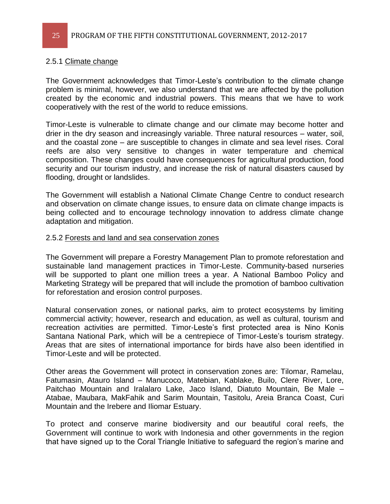#### 2.5.1 Climate change

The Government acknowledges that Timor-Leste's contribution to the climate change problem is minimal, however, we also understand that we are affected by the pollution created by the economic and industrial powers. This means that we have to work cooperatively with the rest of the world to reduce emissions.

Timor-Leste is vulnerable to climate change and our climate may become hotter and drier in the dry season and increasingly variable. Three natural resources  $-$  water, soil, and the coastal zone  $-$  are susceptible to changes in climate and sea level rises. Coral reefs are also very sensitive to changes in water temperature and chemical composition. These changes could have consequences for agricultural production, food security and our tourism industry, and increase the risk of natural disasters caused by flooding, drought or landslides.

The Government will establish a National Climate Change Centre to conduct research and observation on climate change issues, to ensure data on climate change impacts is being collected and to encourage technology innovation to address climate change adaptation and mitigation.

#### 2.5.2 Forests and land and sea conservation zones

The Government will prepare a Forestry Management Plan to promote reforestation and sustainable land management practices in Timor-Leste. Community-based nurseries will be supported to plant one million trees a year. A National Bamboo Policy and Marketing Strategy will be prepared that will include the promotion of bamboo cultivation for reforestation and erosion control purposes.

Natural conservation zones, or national parks, aim to protect ecosystems by limiting commercial activity; however, research and education, as well as cultural, tourism and recreation activities are permitted. Timor-Leste's first protected area is Nino Konis Santana National Park, which will be a centrepiece of Timor-Leste's tourism strategy. Areas that are sites of international importance for birds have also been identified in Timor-Leste and will be protected.

Other areas the Government will protect in conservation zones are: Tilomar, Ramelau, Fatumasin, Atauro Island – Manucoco, Matebian, Kablake, Builo, Clere River, Lore, Paitchao Mountain and Iralalaro Lake, Jaco Island, Diatuto Mountain, Be Male -Atabae, Maubara, MakFahik and Sarim Mountain, Tasitolu, Areia Branca Coast, Curi Mountain and the Irebere and Iliomar Estuary.

To protect and conserve marine biodiversity and our beautiful coral reefs, the Government will continue to work with Indonesia and other governments in the region that have signed up to the Coral Triangle Initiative to safeguard the region's marine and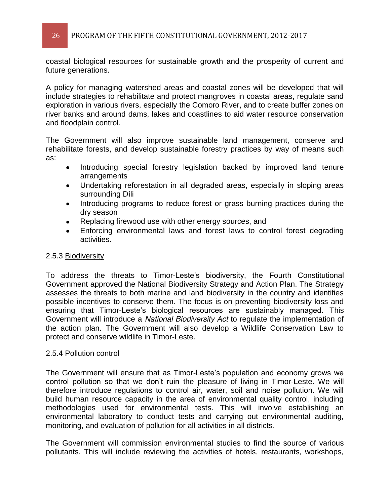coastal biological resources for sustainable growth and the prosperity of current and future generations.

A policy for managing watershed areas and coastal zones will be developed that will include strategies to rehabilitate and protect mangroves in coastal areas, regulate sand exploration in various rivers, especially the Comoro River, and to create buffer zones on river banks and around dams, lakes and coastlines to aid water resource conservation and floodplain control.

The Government will also improve sustainable land management, conserve and rehabilitate forests, and develop sustainable forestry practices by way of means such as:

- $\bullet$ Introducing special forestry legislation backed by improved land tenure arrangements
- Undertaking reforestation in all degraded areas, especially in sloping areas  $\bullet$ surrounding Díli
- Introducing programs to reduce forest or grass burning practices during the  $\bullet$ dry season
- Replacing firewood use with other energy sources, and
- Enforcing environmental laws and forest laws to control forest degrading  $\bullet$ activities.

### 2.5.3 Biodiversity

To address the threats to Timor-Leste's biodiversity, the Fourth Constitutional Government approved the National Biodiversity Strategy and Action Plan. The Strategy assesses the threats to both marine and land biodiversity in the country and identifies possible incentives to conserve them. The focus is on preventing biodiversity loss and ensuring that Timor-Leste's biological resources are sustainably managed. This Government will introduce a *National Biodiversity Act* to regulate the implementation of the action plan. The Government will also develop a Wildlife Conservation Law to protect and conserve wildlife in Timor-Leste.

### 2.5.4 Pollution control

The Government will ensure that as Timor-Leste's population and economy grows we control pollution so that we don't ruin the pleasure of living in Timor-Leste. We will therefore introduce regulations to control air, water, soil and noise pollution. We will build human resource capacity in the area of environmental quality control, including methodologies used for environmental tests. This will involve establishing an environmental laboratory to conduct tests and carrying out environmental auditing, monitoring, and evaluation of pollution for all activities in all districts.

The Government will commission environmental studies to find the source of various pollutants. This will include reviewing the activities of hotels, restaurants, workshops,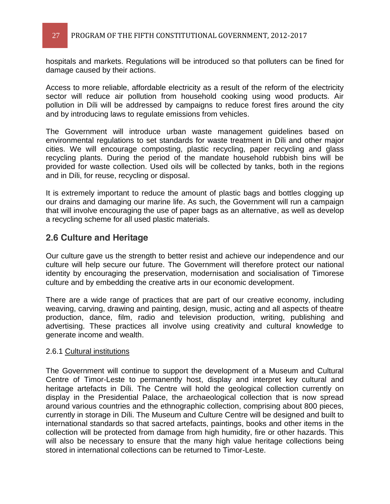hospitals and markets. Regulations will be introduced so that polluters can be fined for damage caused by their actions.

Access to more reliable, affordable electricity as a result of the reform of the electricity sector will reduce air pollution from household cooking using wood products. Air pollution in Díli will be addressed by campaigns to reduce forest fires around the city and by introducing laws to regulate emissions from vehicles.

The Government will introduce urban waste management guidelines based on environmental regulations to set standards for waste treatment in Díli and other major cities. We will encourage composting, plastic recycling, paper recycling and glass recycling plants. During the period of the mandate household rubbish bins will be provided for waste collection. Used oils will be collected by tanks, both in the regions and in Díli, for reuse, recycling or disposal.

It is extremely important to reduce the amount of plastic bags and bottles clogging up our drains and damaging our marine life. As such, the Government will run a campaign that will involve encouraging the use of paper bags as an alternative, as well as develop a recycling scheme for all used plastic materials.

### **2.6 Culture and Heritage**

Our culture gave us the strength to better resist and achieve our independence and our culture will help secure our future. The Government will therefore protect our national identity by encouraging the preservation, modernisation and socialisation of Timorese culture and by embedding the creative arts in our economic development.

There are a wide range of practices that are part of our creative economy, including weaving, carving, drawing and painting, design, music, acting and all aspects of theatre production, dance, film, radio and television production, writing, publishing and advertising. These practices all involve using creativity and cultural knowledge to generate income and wealth.

### 2.6.1 Cultural institutions

The Government will continue to support the development of a Museum and Cultural Centre of Timor-Leste to permanently host, display and interpret key cultural and heritage artefacts in Díli. The Centre will hold the geological collection currently on display in the Presidential Palace, the archaeological collection that is now spread around various countries and the ethnographic collection, comprising about 800 pieces, currently in storage in Díli. The Museum and Culture Centre will be designed and built to international standards so that sacred artefacts, paintings, books and other items in the collection will be protected from damage from high humidity, fire or other hazards. This will also be necessary to ensure that the many high value heritage collections being stored in international collections can be returned to Timor-Leste.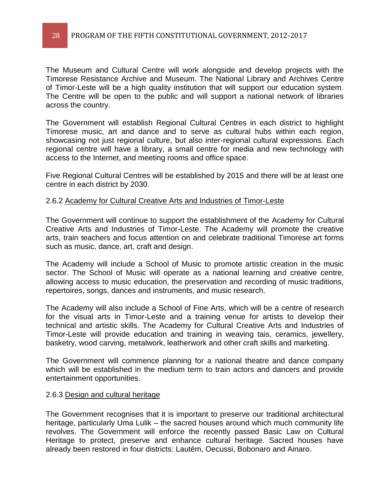The Museum and Cultural Centre will work alongside and develop projects with the Timorese Resistance Archive and Museum. The National Library and Archives Centre of Timor-Leste will be a high quality institution that will support our education system. The Centre will be open to the public and will support a national network of libraries across the country.

The Government will establish Regional Cultural Centres in each district to highlight Timorese music, art and dance and to serve as cultural hubs within each region, showcasing not just regional culture, but also inter-regional cultural expressions. Each regional centre will have a library, a small centre for media and new technology with access to the Internet, and meeting rooms and office space.

Five Regional Cultural Centres will be established by 2015 and there will be at least one centre in each district by 2030.

#### 2.6.2 Academy for Cultural Creative Arts and Industries of Timor-Leste

The Government will continue to support the establishment of the Academy for Cultural Creative Arts and Industries of Timor-Leste. The Academy will promote the creative arts, train teachers and focus attention on and celebrate traditional Timorese art forms such as music, dance, art, craft and design.

The Academy will include a School of Music to promote artistic creation in the music sector. The School of Music will operate as a national learning and creative centre, allowing access to music education, the preservation and recording of music traditions, repertoires, songs, dances and instruments, and music research.

The Academy will also include a School of Fine Arts, which will be a centre of research for the visual arts in Timor-Leste and a training venue for artists to develop their technical and artistic skills. The Academy for Cultural Creative Arts and Industries of Timor-Leste will provide education and training in weaving tais, ceramics, jewellery, basketry, wood carving, metalwork, leatherwork and other craft skills and marketing.

The Government will commence planning for a national theatre and dance company which will be established in the medium term to train actors and dancers and provide entertainment opportunities.

#### 2.6.3 Design and cultural heritage

The Government recognises that it is important to preserve our traditional architectural heritage, particularly Uma Lulik – the sacred houses around which much community life revolves. The Government will enforce the recently passed Basic Law on Cultural Heritage to protect, preserve and enhance cultural heritage. Sacred houses have already been restored in four districts: Lautém, Oecussi, Bobonaro and Ainaro.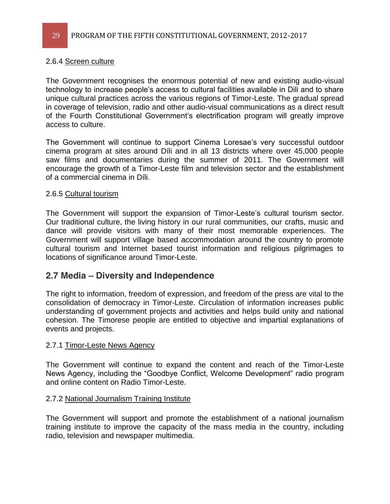### 2.6.4 Screen culture

The Government recognises the enormous potential of new and existing audio-visual technology to increase people's access to cultural facilities available in Dili and to share unique cultural practices across the various regions of Timor-Leste. The gradual spread in coverage of television, radio and other audio-visual communications as a direct result of the Fourth Constitutional Government's electrification program will greatly improve access to culture.

The Government will continue to support Cinema Loresae's very successful outdoor cinema program at sites around Díli and in all 13 districts where over 45,000 people saw films and documentaries during the summer of 2011. The Government will encourage the growth of a Timor-Leste film and television sector and the establishment of a commercial cinema in Díli.

### 2.6.5 Cultural tourism

The Government will support the expansion of Timor-Leste's cultural tourism sector. Our traditional culture, the living history in our rural communities, our crafts, music and dance will provide visitors with many of their most memorable experiences. The Government will support village based accommodation around the country to promote cultural tourism and Internet based tourist information and religious pilgrimages to locations of significance around Timor-Leste.

### **2.7 Media ± Diversity and Independence**

The right to information, freedom of expression, and freedom of the press are vital to the consolidation of democracy in Timor-Leste. Circulation of information increases public understanding of government projects and activities and helps build unity and national cohesion. The Timorese people are entitled to objective and impartial explanations of events and projects.

### 2.7.1 Timor-Leste News Agency

The Government will continue to expand the content and reach of the Timor-Leste News Agency, including the "Goodbye Conflict, Welcome Development" radio program and online content on Radio Timor-Leste.

### 2.7.2 National Journalism Training Institute

The Government will support and promote the establishment of a national journalism training institute to improve the capacity of the mass media in the country, including radio, television and newspaper multimedia.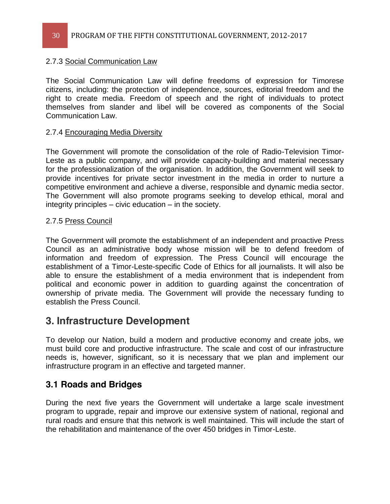### 2.7.3 Social Communication Law

The Social Communication Law will define freedoms of expression for Timorese citizens, including: the protection of independence, sources, editorial freedom and the right to create media. Freedom of speech and the right of individuals to protect themselves from slander and libel will be covered as components of the Social Communication Law.

### 2.7.4 Encouraging Media Diversity

The Government will promote the consolidation of the role of Radio-Television Timor-Leste as a public company, and will provide capacity-building and material necessary for the professionalization of the organisation. In addition, the Government will seek to provide incentives for private sector investment in the media in order to nurture a competitive environment and achieve a diverse, responsible and dynamic media sector. The Government will also promote programs seeking to develop ethical, moral and integrity principles  $-$  civic education  $-$  in the society.

### 2.7.5 Press Council

The Government will promote the establishment of an independent and proactive Press Council as an administrative body whose mission will be to defend freedom of information and freedom of expression. The Press Council will encourage the establishment of a Timor-Leste-specific Code of Ethics for all journalists. It will also be able to ensure the establishment of a media environment that is independent from political and economic power in addition to guarding against the concentration of ownership of private media. The Government will provide the necessary funding to establish the Press Council.

# **3. Infrastructure Development**

To develop our Nation, build a modern and productive economy and create jobs, we must build core and productive infrastructure. The scale and cost of our infrastructure needs is, however, significant, so it is necessary that we plan and implement our infrastructure program in an effective and targeted manner.

### **3.1 Roads and Bridges**

During the next five years the Government will undertake a large scale investment program to upgrade, repair and improve our extensive system of national, regional and rural roads and ensure that this network is well maintained. This will include the start of the rehabilitation and maintenance of the over 450 bridges in Timor-Leste.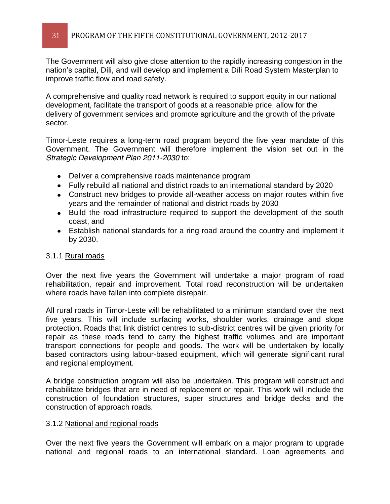The Government will also give close attention to the rapidly increasing congestion in the nation's capital, Díli, and will develop and implement a Díli Road System Masterplan to improve traffic flow and road safety.

A comprehensive and quality road network is required to support equity in our national development, facilitate the transport of goods at a reasonable price, allow for the delivery of government services and promote agriculture and the growth of the private sector.

Timor-Leste requires a long-term road program beyond the five year mandate of this Government. The Government will therefore implement the vision set out in the *Strategic Development Plan 2011-2030* to:

- Deliver a comprehensive roads maintenance program
- Fully rebuild all national and district roads to an international standard by 2020
- Construct new bridges to provide all-weather access on major routes within five years and the remainder of national and district roads by 2030
- Build the road infrastructure required to support the development of the south coast, and
- Establish national standards for a ring road around the country and implement it by 2030.

### 3.1.1 Rural roads

Over the next five years the Government will undertake a major program of road rehabilitation, repair and improvement. Total road reconstruction will be undertaken where roads have fallen into complete disrepair.

All rural roads in Timor-Leste will be rehabilitated to a minimum standard over the next five years. This will include surfacing works, shoulder works, drainage and slope protection. Roads that link district centres to sub-district centres will be given priority for repair as these roads tend to carry the highest traffic volumes and are important transport connections for people and goods. The work will be undertaken by locally based contractors using labour-based equipment, which will generate significant rural and regional employment.

A bridge construction program will also be undertaken. This program will construct and rehabilitate bridges that are in need of replacement or repair. This work will include the construction of foundation structures, super structures and bridge decks and the construction of approach roads.

### 3.1.2 National and regional roads

Over the next five years the Government will embark on a major program to upgrade national and regional roads to an international standard. Loan agreements and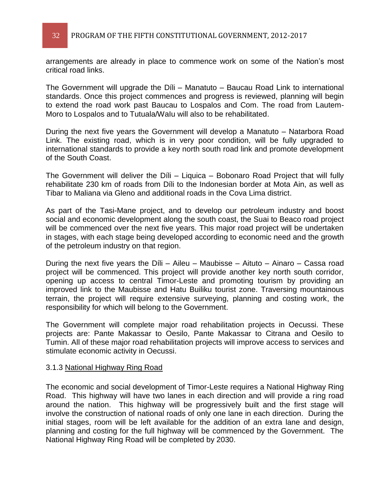arrangements are already in place to commence work on some of the Nation's most critical road links.

The Government will upgrade the Díli  $-$  Manatuto  $-$  Baucau Road Link to international standards. Once this project commences and progress is reviewed, planning will begin to extend the road work past Baucau to Lospalos and Com. The road from Lautem-Moro to Lospalos and to Tutuala/WaIu will also to be rehabilitated.

During the next five years the Government will develop a Manatuto - Natarbora Road Link. The existing road, which is in very poor condition, will be fully upgraded to international standards to provide a key north south road link and promote development of the South Coast.

The Government will deliver the  $D(II - Liquica - Bobonaro Road Project that will fully$ rehabilitate 230 km of roads from Díli to the Indonesian border at Mota Ain, as well as Tibar to Maliana via Gleno and additional roads in the Cova Lima district.

As part of the Tasi-Mane project, and to develop our petroleum industry and boost social and economic development along the south coast, the Suai to Beaco road project will be commenced over the next five years. This major road project will be undertaken in stages, with each stage being developed according to economic need and the growth of the petroleum industry on that region.

During the next five years the Díli  $-$  Aileu  $-$  Maubisse  $-$  Aituto  $-$  Ainaro  $-$  Cassa road project will be commenced. This project will provide another key north south corridor, opening up access to central Timor-Leste and promoting tourism by providing an improved link to the Maubisse and Hatu Builiku tourist zone. Traversing mountainous terrain, the project will require extensive surveying, planning and costing work, the responsibility for which will belong to the Government.

The Government will complete major road rehabilitation projects in Oecussi. These projects are: Pante Makassar to Oesilo, Pante Makassar to Citrana and Oesilo to Tumin. All of these major road rehabilitation projects will improve access to services and stimulate economic activity in Oecussi.

### 3.1.3 National Highway Ring Road

The economic and social development of Timor-Leste requires a National Highway Ring Road. This highway will have two lanes in each direction and will provide a ring road around the nation. This highway will be progressively built and the first stage will involve the construction of national roads of only one lane in each direction. During the initial stages, room will be left available for the addition of an extra lane and design, planning and costing for the full highway will be commenced by the Government. The National Highway Ring Road will be completed by 2030.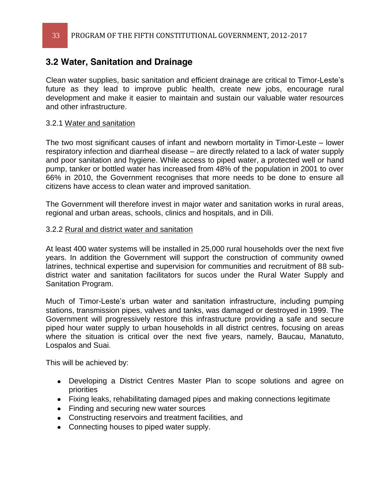### **3.2 Water, Sanitation and Drainage**

Clean water supplies, basic sanitation and efficient drainage are critical to Timor-Leste's future as they lead to improve public health, create new jobs, encourage rural development and make it easier to maintain and sustain our valuable water resources and other infrastructure.

### 3.2.1 Water and sanitation

The two most significant causes of infant and newborn mortality in Timor-Leste – lower respiratory infection and diarrheal disease – are directly related to a lack of water supply and poor sanitation and hygiene. While access to piped water, a protected well or hand pump, tanker or bottled water has increased from 48% of the population in 2001 to over 66% in 2010, the Government recognises that more needs to be done to ensure all citizens have access to clean water and improved sanitation.

The Government will therefore invest in major water and sanitation works in rural areas, regional and urban areas, schools, clinics and hospitals, and in Díli.

### 3.2.2 Rural and district water and sanitation

At least 400 water systems will be installed in 25,000 rural households over the next five years. In addition the Government will support the construction of community owned latrines, technical expertise and supervision for communities and recruitment of 88 subdistrict water and sanitation facilitators for sucos under the Rural Water Supply and Sanitation Program.

Much of Timor-Leste's urban water and sanitation infrastructure, including pumping stations, transmission pipes, valves and tanks, was damaged or destroyed in 1999. The Government will progressively restore this infrastructure providing a safe and secure piped hour water supply to urban households in all district centres, focusing on areas where the situation is critical over the next five years, namely, Baucau, Manatuto, Lospalos and Suai.

This will be achieved by:

- Developing a District Centres Master Plan to scope solutions and agree on priorities
- Fixing leaks, rehabilitating damaged pipes and making connections legitimate
- Finding and securing new water sources
- Constructing reservoirs and treatment facilities, and
- Connecting houses to piped water supply.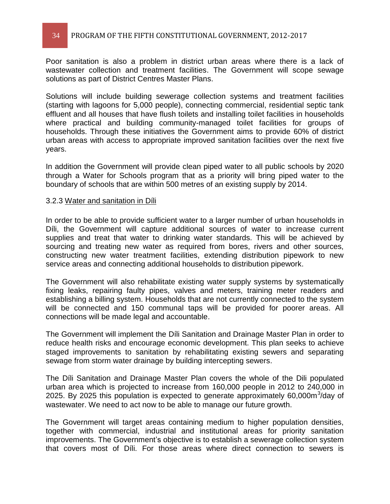Poor sanitation is also a problem in district urban areas where there is a lack of wastewater collection and treatment facilities. The Government will scope sewage solutions as part of District Centres Master Plans.

Solutions will include building sewerage collection systems and treatment facilities (starting with lagoons for 5,000 people), connecting commercial, residential septic tank effluent and all houses that have flush toilets and installing toilet facilities in households where practical and building community-managed toilet facilities for groups of households. Through these initiatives the Government aims to provide 60% of district urban areas with access to appropriate improved sanitation facilities over the next five years.

In addition the Government will provide clean piped water to all public schools by 2020 through a Water for Schools program that as a priority will bring piped water to the boundary of schools that are within 500 metres of an existing supply by 2014.

#### 3.2.3 Water and sanitation in Díli

In order to be able to provide sufficient water to a larger number of urban households in Díli, the Government will capture additional sources of water to increase current supplies and treat that water to drinking water standards. This will be achieved by sourcing and treating new water as required from bores, rivers and other sources, constructing new water treatment facilities, extending distribution pipework to new service areas and connecting additional households to distribution pipework.

The Government will also rehabilitate existing water supply systems by systematically fixing leaks, repairing faulty pipes, valves and meters, training meter readers and establishing a billing system. Households that are not currently connected to the system will be connected and 150 communal taps will be provided for poorer areas. All connections will be made legal and accountable.

The Government will implement the Díli Sanitation and Drainage Master Plan in order to reduce health risks and encourage economic development. This plan seeks to achieve staged improvements to sanitation by rehabilitating existing sewers and separating sewage from storm water drainage by building intercepting sewers.

The Díli Sanitation and Drainage Master Plan covers the whole of the Dili populated urban area which is projected to increase from 160,000 people in 2012 to 240,000 in 2025. By 2025 this population is expected to generate approximately  $60,000\text{m}^3/\text{day}$  of wastewater. We need to act now to be able to manage our future growth.

The Government will target areas containing medium to higher population densities, together with commercial, industrial and institutional areas for priority sanitation improvements. The Government's objective is to establish a sewerage collection system that covers most of Díli. For those areas where direct connection to sewers is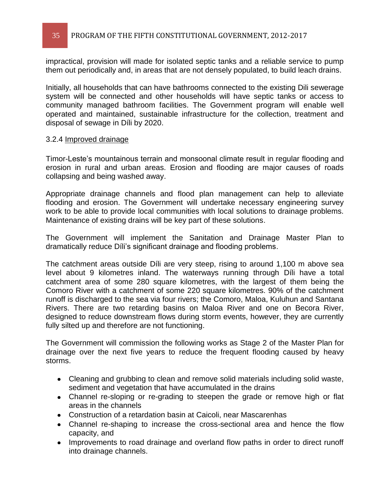impractical, provision will made for isolated septic tanks and a reliable service to pump them out periodically and, in areas that are not densely populated, to build leach drains.

Initially, all households that can have bathrooms connected to the existing Dili sewerage system will be connected and other households will have septic tanks or access to community managed bathroom facilities. The Government program will enable well operated and maintained, sustainable infrastructure for the collection, treatment and disposal of sewage in Díli by 2020.

### 3.2.4 Improved drainage

Timor-Leste's mountainous terrain and monsoonal climate result in regular flooding and erosion in rural and urban areas. Erosion and flooding are major causes of roads collapsing and being washed away.

Appropriate drainage channels and flood plan management can help to alleviate flooding and erosion. The Government will undertake necessary engineering survey work to be able to provide local communities with local solutions to drainage problems. Maintenance of existing drains will be key part of these solutions.

The Government will implement the Sanitation and Drainage Master Plan to dramatically reduce Díli's significant drainage and flooding problems.

The catchment areas outside Díli are very steep, rising to around 1,100 m above sea level about 9 kilometres inland. The waterways running through Díli have a total catchment area of some 280 square kilometres, with the largest of them being the Comoro River with a catchment of some 220 square kilometres. 90% of the catchment runoff is discharged to the sea via four rivers; the Comoro, Maloa, Kuluhun and Santana Rivers. There are two retarding basins on Maloa River and one on Becora River, designed to reduce downstream flows during storm events, however, they are currently fully silted up and therefore are not functioning.

The Government will commission the following works as Stage 2 of the Master Plan for drainage over the next five years to reduce the frequent flooding caused by heavy storms.

- Cleaning and grubbing to clean and remove solid materials including solid waste, sediment and vegetation that have accumulated in the drains
- Channel re-sloping or re-grading to steepen the grade or remove high or flat areas in the channels
- Construction of a retardation basin at Caicoli, near Mascarenhas
- Channel re-shaping to increase the cross-sectional area and hence the flow capacity, and
- Improvements to road drainage and overland flow paths in order to direct runoff into drainage channels.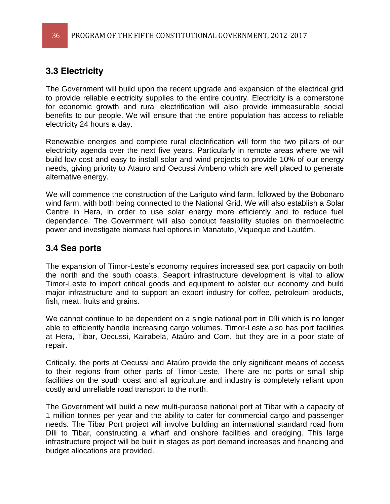### **3.3 Electricity**

The Government will build upon the recent upgrade and expansion of the electrical grid to provide reliable electricity supplies to the entire country. Electricity is a cornerstone for economic growth and rural electrification will also provide immeasurable social benefits to our people. We will ensure that the entire population has access to reliable electricity 24 hours a day.

Renewable energies and complete rural electrification will form the two pillars of our electricity agenda over the next five years. Particularly in remote areas where we will build low cost and easy to install solar and wind projects to provide 10% of our energy needs, giving priority to Atauro and Oecussi Ambeno which are well placed to generate alternative energy.

We will commence the construction of the Lariguto wind farm, followed by the Bobonaro wind farm, with both being connected to the National Grid. We will also establish a Solar Centre in Hera, in order to use solar energy more efficiently and to reduce fuel dependence. The Government will also conduct feasibility studies on thermoelectric power and investigate biomass fuel options in Manatuto, Viqueque and Lautém.

### **3.4 Sea ports**

The expansion of Timor-Leste's economy requires increased sea port capacity on both the north and the south coasts. Seaport infrastructure development is vital to allow Timor-Leste to import critical goods and equipment to bolster our economy and build major infrastructure and to support an export industry for coffee, petroleum products, fish, meat, fruits and grains.

We cannot continue to be dependent on a single national port in Díli which is no longer able to efficiently handle increasing cargo volumes. Timor-Leste also has port facilities at Hera, Tibar, Oecussi, Kairabela, Ataúro and Com, but they are in a poor state of repair.

Critically, the ports at Oecussi and Ataúro provide the only significant means of access to their regions from other parts of Timor-Leste. There are no ports or small ship facilities on the south coast and all agriculture and industry is completely reliant upon costly and unreliable road transport to the north.

The Government will build a new multi-purpose national port at Tibar with a capacity of 1 million tonnes per year and the ability to cater for commercial cargo and passenger needs. The Tibar Port project will involve building an international standard road from Díli to Tibar, constructing a wharf and onshore facilities and dredging. This large infrastructure project will be built in stages as port demand increases and financing and budget allocations are provided.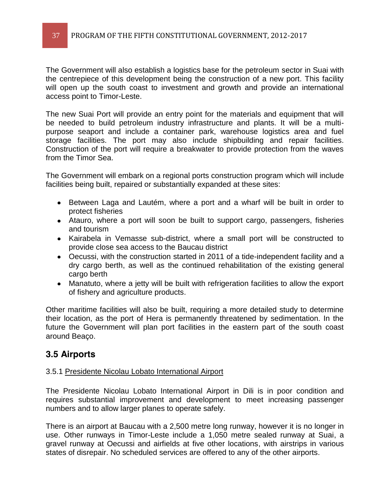The Government will also establish a logistics base for the petroleum sector in Suai with the centrepiece of this development being the construction of a new port. This facility will open up the south coast to investment and growth and provide an international access point to Timor-Leste.

The new Suai Port will provide an entry point for the materials and equipment that will be needed to build petroleum industry infrastructure and plants. It will be a multipurpose seaport and include a container park, warehouse logistics area and fuel storage facilities. The port may also include shipbuilding and repair facilities. Construction of the port will require a breakwater to provide protection from the waves from the Timor Sea.

The Government will embark on a regional ports construction program which will include facilities being built, repaired or substantially expanded at these sites:

- Between Laga and Lautém, where a port and a wharf will be built in order to protect fisheries
- Atauro, where a port will soon be built to support cargo, passengers, fisheries and tourism
- Kairabela in Vemasse sub-district, where a small port will be constructed to provide close sea access to the Baucau district
- Oecussi, with the construction started in 2011 of a tide-independent facility and a dry cargo berth, as well as the continued rehabilitation of the existing general cargo berth
- Manatuto, where a jetty will be built with refrigeration facilities to allow the export of fishery and agriculture products.

Other maritime facilities will also be built, requiring a more detailed study to determine their location, as the port of Hera is permanently threatened by sedimentation. In the future the Government will plan port facilities in the eastern part of the south coast around Beaço.

### **3.5 Airports**

### 3.5.1 Presidente Nicolau Lobato International Airport

The Presidente Nicolau Lobato International Airport in Dili is in poor condition and requires substantial improvement and development to meet increasing passenger numbers and to allow larger planes to operate safely.

There is an airport at Baucau with a 2,500 metre long runway, however it is no longer in use. Other runways in Timor-Leste include a 1,050 metre sealed runway at Suai, a gravel runway at Oecussi and airfields at five other locations, with airstrips in various states of disrepair. No scheduled services are offered to any of the other airports.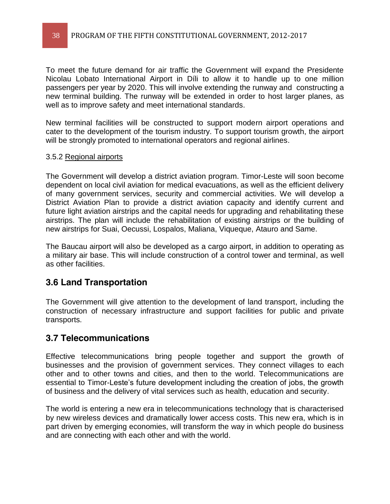To meet the future demand for air traffic the Government will expand the Presidente Nicolau Lobato International Airport in Díli to allow it to handle up to one million passengers per year by 2020. This will involve extending the runway and constructing a new terminal building. The runway will be extended in order to host larger planes, as well as to improve safety and meet international standards.

New terminal facilities will be constructed to support modern airport operations and cater to the development of the tourism industry. To support tourism growth, the airport will be strongly promoted to international operators and regional airlines.

### 3.5.2 Regional airports

The Government will develop a district aviation program. Timor-Leste will soon become dependent on local civil aviation for medical evacuations, as well as the efficient delivery of many government services, security and commercial activities. We will develop a District Aviation Plan to provide a district aviation capacity and identify current and future light aviation airstrips and the capital needs for upgrading and rehabilitating these airstrips. The plan will include the rehabilitation of existing airstrips or the building of new airstrips for Suai, Oecussi, Lospalos, Maliana, Viqueque, Atauro and Same.

The Baucau airport will also be developed as a cargo airport, in addition to operating as a military air base. This will include construction of a control tower and terminal, as well as other facilities.

### **3.6 Land Transportation**

The Government will give attention to the development of land transport, including the construction of necessary infrastructure and support facilities for public and private transports.

### **3.7 Telecommunications**

Effective telecommunications bring people together and support the growth of businesses and the provision of government services. They connect villages to each other and to other towns and cities, and then to the world. Telecommunications are essential to Timor-Leste's future development including the creation of jobs, the growth of business and the delivery of vital services such as health, education and security.

The world is entering a new era in telecommunications technology that is characterised by new wireless devices and dramatically lower access costs. This new era, which is in part driven by emerging economies, will transform the way in which people do business and are connecting with each other and with the world.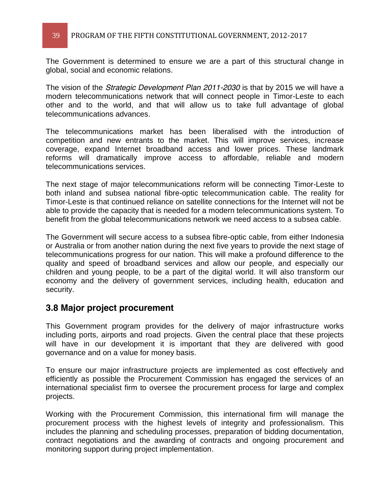The Government is determined to ensure we are a part of this structural change in global, social and economic relations.

The vision of the *Strategic Development Plan 2011-2030* is that by 2015 we will have a modern telecommunications network that will connect people in Timor-Leste to each other and to the world, and that will allow us to take full advantage of global telecommunications advances.

The telecommunications market has been liberalised with the introduction of competition and new entrants to the market. This will improve services, increase coverage, expand Internet broadband access and lower prices. These landmark reforms will dramatically improve access to affordable, reliable and modern telecommunications services.

The next stage of major telecommunications reform will be connecting Timor-Leste to both inland and subsea national fibre-optic telecommunication cable. The reality for Timor-Leste is that continued reliance on satellite connections for the Internet will not be able to provide the capacity that is needed for a modern telecommunications system. To benefit from the global telecommunications network we need access to a subsea cable.

The Government will secure access to a subsea fibre-optic cable, from either Indonesia or Australia or from another nation during the next five years to provide the next stage of telecommunications progress for our nation. This will make a profound difference to the quality and speed of broadband services and allow our people, and especially our children and young people, to be a part of the digital world. It will also transform our economy and the delivery of government services, including health, education and security.

### **3.8 Major project procurement**

This Government program provides for the delivery of major infrastructure works including ports, airports and road projects. Given the central place that these projects will have in our development it is important that they are delivered with good governance and on a value for money basis.

To ensure our major infrastructure projects are implemented as cost effectively and efficiently as possible the Procurement Commission has engaged the services of an international specialist firm to oversee the procurement process for large and complex projects.

Working with the Procurement Commission, this international firm will manage the procurement process with the highest levels of integrity and professionalism. This includes the planning and scheduling processes, preparation of bidding documentation, contract negotiations and the awarding of contracts and ongoing procurement and monitoring support during project implementation.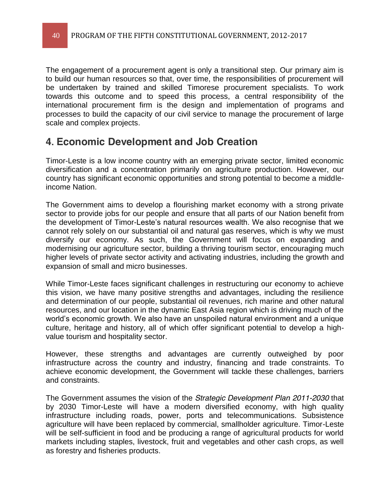The engagement of a procurement agent is only a transitional step. Our primary aim is to build our human resources so that, over time, the responsibilities of procurement will be undertaken by trained and skilled Timorese procurement specialists. To work towards this outcome and to speed this process, a central responsibility of the international procurement firm is the design and implementation of programs and processes to build the capacity of our civil service to manage the procurement of large scale and complex projects.

## **4. Economic Development and Job Creation**

Timor-Leste is a low income country with an emerging private sector, limited economic diversification and a concentration primarily on agriculture production. However, our country has significant economic opportunities and strong potential to become a middleincome Nation.

The Government aims to develop a flourishing market economy with a strong private sector to provide jobs for our people and ensure that all parts of our Nation benefit from the development of Timor-Leste's natural resources wealth. We also recognise that we cannot rely solely on our substantial oil and natural gas reserves, which is why we must diversify our economy. As such, the Government will focus on expanding and modernising our agriculture sector, building a thriving tourism sector, encouraging much higher levels of private sector activity and activating industries, including the growth and expansion of small and micro businesses.

While Timor-Leste faces significant challenges in restructuring our economy to achieve this vision, we have many positive strengths and advantages, including the resilience and determination of our people, substantial oil revenues, rich marine and other natural resources, and our location in the dynamic East Asia region which is driving much of the world's economic growth. We also have an unspoiled natural environment and a unique culture, heritage and history, all of which offer significant potential to develop a highvalue tourism and hospitality sector.

However, these strengths and advantages are currently outweighed by poor infrastructure across the country and industry, financing and trade constraints. To achieve economic development, the Government will tackle these challenges, barriers and constraints.

The Government assumes the vision of the *Strategic Development Plan 2011-2030* that by 2030 Timor-Leste will have a modern diversified economy, with high quality infrastructure including roads, power, ports and telecommunications. Subsistence agriculture will have been replaced by commercial, smallholder agriculture. Timor-Leste will be self-sufficient in food and be producing a range of agricultural products for world markets including staples, livestock, fruit and vegetables and other cash crops, as well as forestry and fisheries products.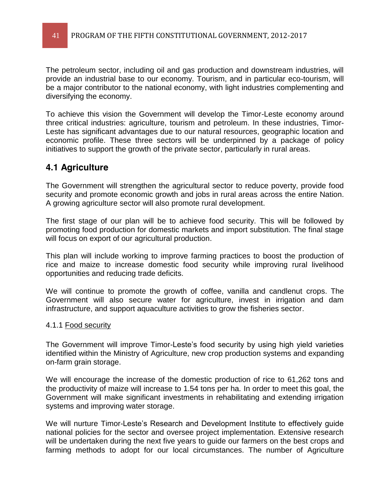The petroleum sector, including oil and gas production and downstream industries, will provide an industrial base to our economy. Tourism, and in particular eco-tourism, will be a major contributor to the national economy, with light industries complementing and diversifying the economy.

To achieve this vision the Government will develop the Timor-Leste economy around three critical industries: agriculture, tourism and petroleum. In these industries, Timor-Leste has significant advantages due to our natural resources, geographic location and economic profile. These three sectors will be underpinned by a package of policy initiatives to support the growth of the private sector, particularly in rural areas.

### **4.1 Agriculture**

The Government will strengthen the agricultural sector to reduce poverty, provide food security and promote economic growth and jobs in rural areas across the entire Nation. A growing agriculture sector will also promote rural development.

The first stage of our plan will be to achieve food security. This will be followed by promoting food production for domestic markets and import substitution. The final stage will focus on export of our agricultural production.

This plan will include working to improve farming practices to boost the production of rice and maize to increase domestic food security while improving rural livelihood opportunities and reducing trade deficits.

We will continue to promote the growth of coffee, vanilla and candlenut crops. The Government will also secure water for agriculture, invest in irrigation and dam infrastructure, and support aquaculture activities to grow the fisheries sector.

### 4.1.1 Food security

The Government will improve Timor-Leste's food security by using high yield varieties identified within the Ministry of Agriculture, new crop production systems and expanding on-farm grain storage.

We will encourage the increase of the domestic production of rice to 61,262 tons and the productivity of maize will increase to 1.54 tons per ha. In order to meet this goal, the Government will make significant investments in rehabilitating and extending irrigation systems and improving water storage.

We will nurture Timor-Leste's Research and Development Institute to effectively quide national policies for the sector and oversee project implementation. Extensive research will be undertaken during the next five years to guide our farmers on the best crops and farming methods to adopt for our local circumstances. The number of Agriculture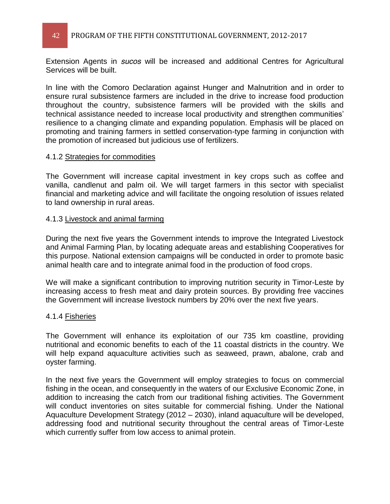Extension Agents in *sucos* will be increased and additional Centres for Agricultural Services will be built.

In line with the Comoro Declaration against Hunger and Malnutrition and in order to ensure rural subsistence farmers are included in the drive to increase food production throughout the country, subsistence farmers will be provided with the skills and technical assistance needed to increase local productivity and strengthen communities' resilience to a changing climate and expanding population. Emphasis will be placed on promoting and training farmers in settled conservation-type farming in conjunction with the promotion of increased but judicious use of fertilizers.

### 4.1.2 Strategies for commodities

The Government will increase capital investment in key crops such as coffee and vanilla, candlenut and palm oil. We will target farmers in this sector with specialist financial and marketing advice and will facilitate the ongoing resolution of issues related to land ownership in rural areas.

#### 4.1.3 Livestock and animal farming

During the next five years the Government intends to improve the Integrated Livestock and Animal Farming Plan, by locating adequate areas and establishing Cooperatives for this purpose. National extension campaigns will be conducted in order to promote basic animal health care and to integrate animal food in the production of food crops.

We will make a significant contribution to improving nutrition security in Timor-Leste by increasing access to fresh meat and dairy protein sources. By providing free vaccines the Government will increase livestock numbers by 20% over the next five years.

### 4.1.4 Fisheries

The Government will enhance its exploitation of our 735 km coastline, providing nutritional and economic benefits to each of the 11 coastal districts in the country. We will help expand aquaculture activities such as seaweed, prawn, abalone, crab and oyster farming.

In the next five years the Government will employ strategies to focus on commercial fishing in the ocean, and consequently in the waters of our Exclusive Economic Zone, in addition to increasing the catch from our traditional fishing activities. The Government will conduct inventories on sites suitable for commercial fishing. Under the National Aquaculture Development Strategy (2012 - 2030), inland aquaculture will be developed, addressing food and nutritional security throughout the central areas of Timor-Leste which currently suffer from low access to animal protein.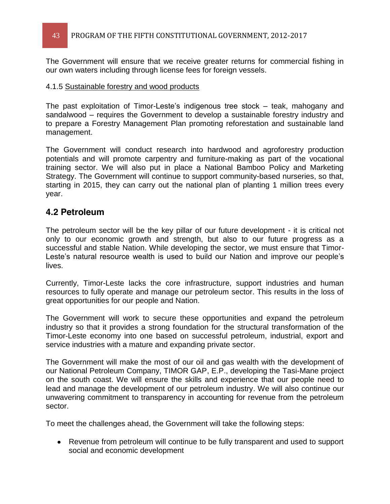### 43 PROGRAM OF THE FIFTH CONSTITUTIONAL GOVERNMENT, 2012-2017

The Government will ensure that we receive greater returns for commercial fishing in our own waters including through license fees for foreign vessels.

#### 4.1.5 Sustainable forestry and wood products

The past exploitation of Timor-Leste's indigenous tree stock  $-$  teak, mahogany and sandalwood – requires the Government to develop a sustainable forestry industry and to prepare a Forestry Management Plan promoting reforestation and sustainable land management.

The Government will conduct research into hardwood and agroforestry production potentials and will promote carpentry and furniture-making as part of the vocational training sector. We will also put in place a National Bamboo Policy and Marketing Strategy. The Government will continue to support community-based nurseries, so that, starting in 2015, they can carry out the national plan of planting 1 million trees every year.

### **4.2 Petroleum**

The petroleum sector will be the key pillar of our future development - it is critical not only to our economic growth and strength, but also to our future progress as a successful and stable Nation. While developing the sector, we must ensure that Timor- Leste's natural resource wealth is used to build our Nation and improve our people's lives.

Currently, Timor-Leste lacks the core infrastructure, support industries and human resources to fully operate and manage our petroleum sector. This results in the loss of great opportunities for our people and Nation.

The Government will work to secure these opportunities and expand the petroleum industry so that it provides a strong foundation for the structural transformation of the Timor-Leste economy into one based on successful petroleum, industrial, export and service industries with a mature and expanding private sector.

The Government will make the most of our oil and gas wealth with the development of our National Petroleum Company, TIMOR GAP, E.P., developing the Tasi-Mane project on the south coast. We will ensure the skills and experience that our people need to lead and manage the development of our petroleum industry. We will also continue our unwavering commitment to transparency in accounting for revenue from the petroleum sector.

To meet the challenges ahead, the Government will take the following steps:

Revenue from petroleum will continue to be fully transparent and used to support social and economic development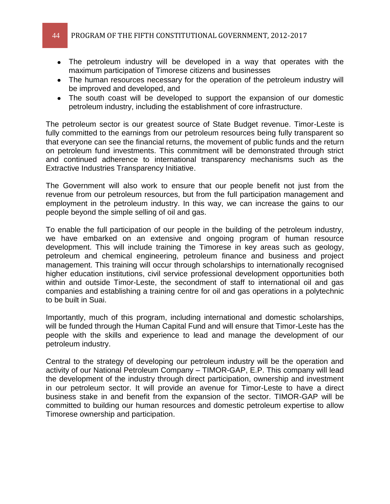- The petroleum industry will be developed in a way that operates with the maximum participation of Timorese citizens and businesses
- The human resources necessary for the operation of the petroleum industry will be improved and developed, and
- The south coast will be developed to support the expansion of our domestic petroleum industry, including the establishment of core infrastructure.

The petroleum sector is our greatest source of State Budget revenue. Timor-Leste is fully committed to the earnings from our petroleum resources being fully transparent so that everyone can see the financial returns, the movement of public funds and the return on petroleum fund investments. This commitment will be demonstrated through strict and continued adherence to international transparency mechanisms such as the Extractive Industries Transparency Initiative.

The Government will also work to ensure that our people benefit not just from the revenue from our petroleum resources, but from the full participation management and employment in the petroleum industry. In this way, we can increase the gains to our people beyond the simple selling of oil and gas.

To enable the full participation of our people in the building of the petroleum industry, we have embarked on an extensive and ongoing program of human resource development. This will include training the Timorese in key areas such as geology, petroleum and chemical engineering, petroleum finance and business and project management. This training will occur through scholarships to internationally recognised higher education institutions, civil service professional development opportunities both within and outside Timor-Leste, the secondment of staff to international oil and gas companies and establishing a training centre for oil and gas operations in a polytechnic to be built in Suai.

Importantly, much of this program, including international and domestic scholarships, will be funded through the Human Capital Fund and will ensure that Timor-Leste has the people with the skills and experience to lead and manage the development of our petroleum industry.

Central to the strategy of developing our petroleum industry will be the operation and activity of our National Petroleum Company - TIMOR-GAP, E.P. This company will lead the development of the industry through direct participation, ownership and investment in our petroleum sector. It will provide an avenue for Timor-Leste to have a direct business stake in and benefit from the expansion of the sector. TIMOR-GAP will be committed to building our human resources and domestic petroleum expertise to allow Timorese ownership and participation.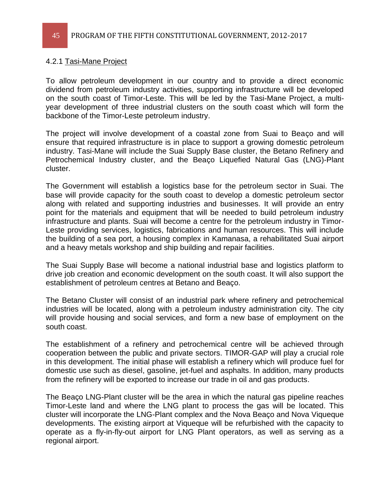#### 4.2.1 Tasi-Mane Project

To allow petroleum development in our country and to provide a direct economic dividend from petroleum industry activities, supporting infrastructure will be developed on the south coast of Timor-Leste. This will be led by the Tasi-Mane Project, a multiyear development of three industrial clusters on the south coast which will form the backbone of the Timor-Leste petroleum industry.

The project will involve development of a coastal zone from Suai to Beaço and will ensure that required infrastructure is in place to support a growing domestic petroleum industry. Tasi-Mane will include the Suai Supply Base cluster, the Betano Refinery and Petrochemical Industry cluster, and the Beaço Liquefied Natural Gas (LNG)-Plant cluster.

The Government will establish a logistics base for the petroleum sector in Suai. The base will provide capacity for the south coast to develop a domestic petroleum sector along with related and supporting industries and businesses. It will provide an entry point for the materials and equipment that will be needed to build petroleum industry infrastructure and plants. Suai will become a centre for the petroleum industry in Timor-Leste providing services, logistics, fabrications and human resources. This will include the building of a sea port, a housing complex in Kamanasa, a rehabilitated Suai airport and a heavy metals workshop and ship building and repair facilities.

The Suai Supply Base will become a national industrial base and logistics platform to drive job creation and economic development on the south coast. It will also support the establishment of petroleum centres at Betano and Beaço.

The Betano Cluster will consist of an industrial park where refinery and petrochemical industries will be located, along with a petroleum industry administration city. The city will provide housing and social services, and form a new base of employment on the south coast.

The establishment of a refinery and petrochemical centre will be achieved through cooperation between the public and private sectors. TIMOR-GAP will play a crucial role in this development. The initial phase will establish a refinery which will produce fuel for domestic use such as diesel, gasoline, jet-fuel and asphalts. In addition, many products from the refinery will be exported to increase our trade in oil and gas products.

The Beaço LNG-Plant cluster will be the area in which the natural gas pipeline reaches Timor-Leste land and where the LNG plant to process the gas will be located. This cluster will incorporate the LNG-Plant complex and the Nova Beaço and Nova Viqueque developments. The existing airport at Viqueque will be refurbished with the capacity to operate as a fly-in-fly-out airport for LNG Plant operators, as well as serving as a regional airport.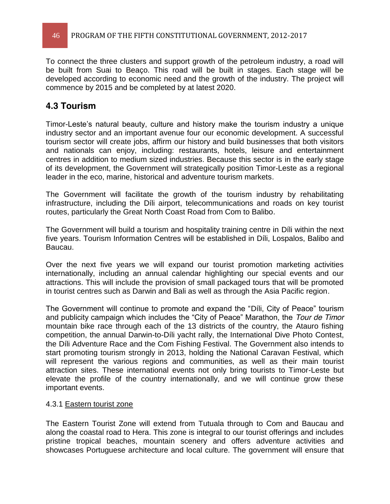To connect the three clusters and support growth of the petroleum industry, a road will be built from Suai to Beaço. This road will be built in stages. Each stage will be developed according to economic need and the growth of the industry. The project will commence by 2015 and be completed by at latest 2020.

### **4.3 Tourism**

Timor-Leste's natural beauty, culture and history make the tourism industry a unique industry sector and an important avenue four our economic development. A successful tourism sector will create jobs, affirm our history and build businesses that both visitors and nationals can enjoy, including: restaurants, hotels, leisure and entertainment centres in addition to medium sized industries. Because this sector is in the early stage of its development, the Government will strategically position Timor-Leste as a regional leader in the eco, marine, historical and adventure tourism markets.

The Government will facilitate the growth of the tourism industry by rehabilitating infrastructure, including the Díli airport, telecommunications and roads on key tourist routes, particularly the Great North Coast Road from Com to Balibo.

The Government will build a tourism and hospitality training centre in Díli within the next five years. Tourism Information Centres will be established in Díli, Lospalos, Balibo and Baucau.

Over the next five years we will expand our tourist promotion marketing activities internationally, including an annual calendar highlighting our special events and our attractions. This will include the provision of small packaged tours that will be promoted in tourist centres such as Darwin and Bali as well as through the Asia Pacific region.

The Government will continue to promote and expand the "Díli, City of Peace" tourism and publicity campaign which includes the "City of Peace" Marathon, the Tour de Timor mountain bike race through each of the 13 districts of the country, the Atauro fishing competition, the annual Darwin-to-Díli yacht rally, the International Dive Photo Contest, the Díli Adventure Race and the Com Fishing Festival. The Government also intends to start promoting tourism strongly in 2013, holding the National Caravan Festival, which will represent the various regions and communities, as well as their main tourist attraction sites. These international events not only bring tourists to Timor-Leste but elevate the profile of the country internationally, and we will continue grow these important events.

### 4.3.1 Eastern tourist zone

The Eastern Tourist Zone will extend from Tutuala through to Com and Baucau and along the coastal road to Hera. This zone is integral to our tourist offerings and includes pristine tropical beaches, mountain scenery and offers adventure activities and showcases Portuguese architecture and local culture. The government will ensure that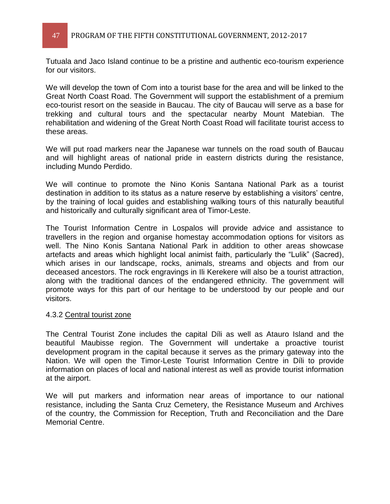Tutuala and Jaco Island continue to be a pristine and authentic eco-tourism experience for our visitors.

We will develop the town of Com into a tourist base for the area and will be linked to the Great North Coast Road. The Government will support the establishment of a premium eco-tourist resort on the seaside in Baucau. The city of Baucau will serve as a base for trekking and cultural tours and the spectacular nearby Mount Matebian. The rehabilitation and widening of the Great North Coast Road will facilitate tourist access to these areas.

We will put road markers near the Japanese war tunnels on the road south of Baucau and will highlight areas of national pride in eastern districts during the resistance, including Mundo Perdido.

We will continue to promote the Nino Konis Santana National Park as a tourist destination in addition to its status as a nature reserve by establishing a visitors' centre, by the training of local guides and establishing walking tours of this naturally beautiful and historically and culturally significant area of Timor-Leste.

The Tourist Information Centre in Lospalos will provide advice and assistance to travellers in the region and organise homestay accommodation options for visitors as well. The Nino Konis Santana National Park in addition to other areas showcase artefacts and areas which highlight local animist faith, particularly the "Lulik" (Sacred), which arises in our landscape, rocks, animals, streams and objects and from our deceased ancestors. The rock engravings in Ili Kerekere will also be a tourist attraction, along with the traditional dances of the endangered ethnicity. The government will promote ways for this part of our heritage to be understood by our people and our visitors.

### 4.3.2 Central tourist zone

The Central Tourist Zone includes the capital Díli as well as Atauro Island and the beautiful Maubisse region. The Government will undertake a proactive tourist development program in the capital because it serves as the primary gateway into the Nation. We will open the Timor-Leste Tourist Information Centre in Díli to provide information on places of local and national interest as well as provide tourist information at the airport.

We will put markers and information near areas of importance to our national resistance, including the Santa Cruz Cemetery, the Resistance Museum and Archives of the country, the Commission for Reception, Truth and Reconciliation and the Dare Memorial Centre.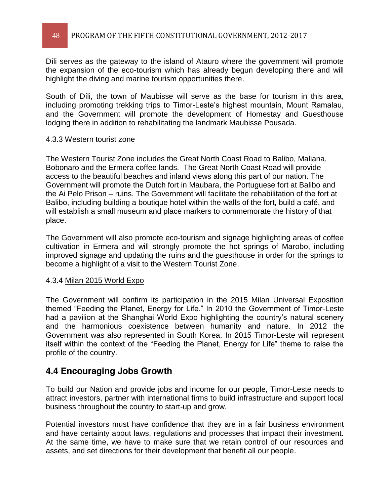Díli serves as the gateway to the island of Atauro where the government will promote the expansion of the eco-tourism which has already begun developing there and will highlight the diving and marine tourism opportunities there.

South of Díli, the town of Maubisse will serve as the base for tourism in this area, including promoting trekking trips to Timor-Leste's highest mountain, Mount Ramalau, and the Government will promote the development of Homestay and Guesthouse lodging there in addition to rehabilitating the landmark Maubisse Pousada.

### 4.3.3 Western tourist zone

The Western Tourist Zone includes the Great North Coast Road to Balibo, Maliana, Bobonaro and the Ermera coffee lands. The Great North Coast Road will provide access to the beautiful beaches and inland views along this part of our nation. The Government will promote the Dutch fort in Maubara, the Portuguese fort at Balibo and the Ai Pelo Prison – ruins. The Government will facilitate the rehabilitation of the fort at Balibo, including building a boutique hotel within the walls of the fort, build a café, and will establish a small museum and place markers to commemorate the history of that place.

The Government will also promote eco-tourism and signage highlighting areas of coffee cultivation in Ermera and will strongly promote the hot springs of Marobo, including improved signage and updating the ruins and the guesthouse in order for the springs to become a highlight of a visit to the Western Tourist Zone.

### 4.3.4 Milan 2015 World Expo

The Government will confirm its participation in the 2015 Milan Universal Exposition themed "Feeding the Planet, Energy for Life." In 2010 the Government of Timor-Leste had a pavilion at the Shanghai World Expo highlighting the country's natural scenery and the harmonious coexistence between humanity and nature. In 2012 the Government was also represented in South Korea. In 2015 Timor-Leste will represent itself within the context of the "Feeding the Planet, Energy for Life" theme to raise the profile of the country.

### **4.4 Encouraging Jobs Growth**

To build our Nation and provide jobs and income for our people, Timor-Leste needs to attract investors, partner with international firms to build infrastructure and support local business throughout the country to start-up and grow.

Potential investors must have confidence that they are in a fair business environment and have certainty about laws, regulations and processes that impact their investment. At the same time, we have to make sure that we retain control of our resources and assets, and set directions for their development that benefit all our people.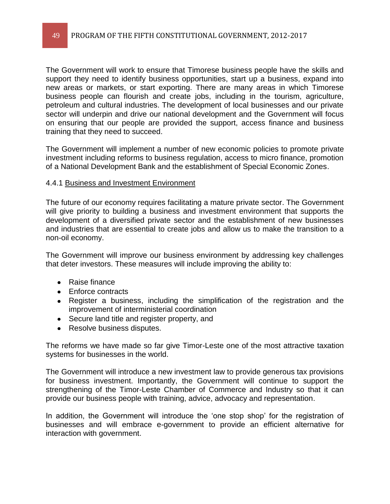The Government will work to ensure that Timorese business people have the skills and support they need to identify business opportunities, start up a business, expand into new areas or markets, or start exporting. There are many areas in which Timorese business people can flourish and create jobs, including in the tourism, agriculture, petroleum and cultural industries. The development of local businesses and our private sector will underpin and drive our national development and the Government will focus on ensuring that our people are provided the support, access finance and business training that they need to succeed.

The Government will implement a number of new economic policies to promote private investment including reforms to business regulation, access to micro finance, promotion of a National Development Bank and the establishment of Special Economic Zones.

### 4.4.1 Business and Investment Environment

The future of our economy requires facilitating a mature private sector. The Government will give priority to building a business and investment environment that supports the development of a diversified private sector and the establishment of new businesses and industries that are essential to create jobs and allow us to make the transition to a non-oil economy.

The Government will improve our business environment by addressing key challenges that deter investors. These measures will include improving the ability to:

- Raise finance
- Enforce contracts
- Register a business, including the simplification of the registration and the improvement of interministerial coordination
- Secure land title and register property, and
- Resolve business disputes.

The reforms we have made so far give Timor-Leste one of the most attractive taxation systems for businesses in the world.

The Government will introduce a new investment law to provide generous tax provisions for business investment. Importantly, the Government will continue to support the strengthening of the Timor-Leste Chamber of Commerce and Industry so that it can provide our business people with training, advice, advocacy and representation.

In addition, the Government will introduce the 'one stop shop' for the registration of businesses and will embrace e-government to provide an efficient alternative for interaction with government.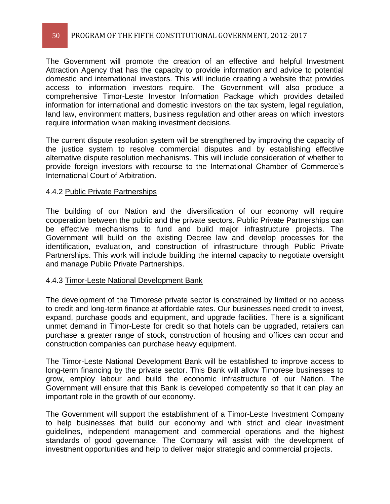The Government will promote the creation of an effective and helpful Investment Attraction Agency that has the capacity to provide information and advice to potential domestic and international investors. This will include creating a website that provides access to information investors require. The Government will also produce a comprehensive Timor-Leste Investor Information Package which provides detailed information for international and domestic investors on the tax system, legal regulation, land law, environment matters, business regulation and other areas on which investors require information when making investment decisions.

The current dispute resolution system will be strengthened by improving the capacity of the justice system to resolve commercial disputes and by establishing effective alternative dispute resolution mechanisms. This will include consideration of whether to provide foreign investors with recourse to the International Chamber of Commerce's International Court of Arbitration.

### 4.4.2 Public Private Partnerships

The building of our Nation and the diversification of our economy will require cooperation between the public and the private sectors. Public Private Partnerships can be effective mechanisms to fund and build major infrastructure projects. The Government will build on the existing Decree law and develop processes for the identification, evaluation, and construction of infrastructure through Public Private Partnerships. This work will include building the internal capacity to negotiate oversight and manage Public Private Partnerships.

### 4.4.3 Timor-Leste National Development Bank

The development of the Timorese private sector is constrained by limited or no access to credit and long-term finance at affordable rates. Our businesses need credit to invest, expand, purchase goods and equipment, and upgrade facilities. There is a significant unmet demand in Timor-Leste for credit so that hotels can be upgraded, retailers can purchase a greater range of stock, construction of housing and offices can occur and construction companies can purchase heavy equipment.

The Timor-Leste National Development Bank will be established to improve access to long-term financing by the private sector. This Bank will allow Timorese businesses to grow, employ labour and build the economic infrastructure of our Nation. The Government will ensure that this Bank is developed competently so that it can play an important role in the growth of our economy.

The Government will support the establishment of a Timor-Leste Investment Company to help businesses that build our economy and with strict and clear investment guidelines, independent management and commercial operations and the highest standards of good governance. The Company will assist with the development of investment opportunities and help to deliver major strategic and commercial projects.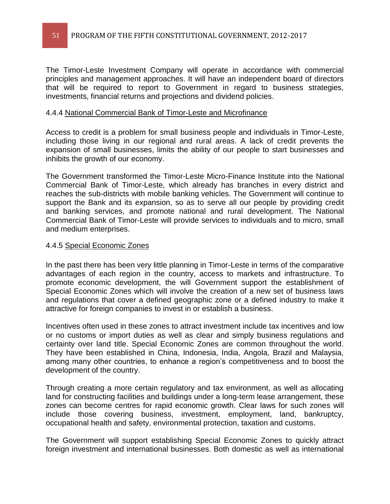The Timor-Leste Investment Company will operate in accordance with commercial principles and management approaches. It will have an independent board of directors that will be required to report to Government in regard to business strategies, investments, financial returns and projections and dividend policies.

### 4.4.4 National Commercial Bank of Timor-Leste and Microfinance

Access to credit is a problem for small business people and individuals in Timor-Leste, including those living in our regional and rural areas. A lack of credit prevents the expansion of small businesses, limits the ability of our people to start businesses and inhibits the growth of our economy.

The Government transformed the Timor-Leste Micro-Finance Institute into the National Commercial Bank of Timor-Leste, which already has branches in every district and reaches the sub-districts with mobile banking vehicles. The Government will continue to support the Bank and its expansion, so as to serve all our people by providing credit and banking services, and promote national and rural development. The National Commercial Bank of Timor-Leste will provide services to individuals and to micro, small and medium enterprises.

### 4.4.5 Special Economic Zones

In the past there has been very little planning in Timor-Leste in terms of the comparative advantages of each region in the country, access to markets and infrastructure. To promote economic development, the will Government support the establishment of Special Economic Zones which will involve the creation of a new set of business laws and regulations that cover a defined geographic zone or a defined industry to make it attractive for foreign companies to invest in or establish a business.

Incentives often used in these zones to attract investment include tax incentives and low or no customs or import duties as well as clear and simply business regulations and certainty over land title. Special Economic Zones are common throughout the world. They have been established in China, Indonesia, India, Angola, Brazil and Malaysia, among many other countries, to enhance a region's competitiveness and to boost the development of the country.

Through creating a more certain regulatory and tax environment, as well as allocating land for constructing facilities and buildings under a long-term lease arrangement, these zones can become centres for rapid economic growth. Clear laws for such zones will include those covering business, investment, employment, land, bankruptcy, occupational health and safety, environmental protection, taxation and customs.

The Government will support establishing Special Economic Zones to quickly attract foreign investment and international businesses. Both domestic as well as international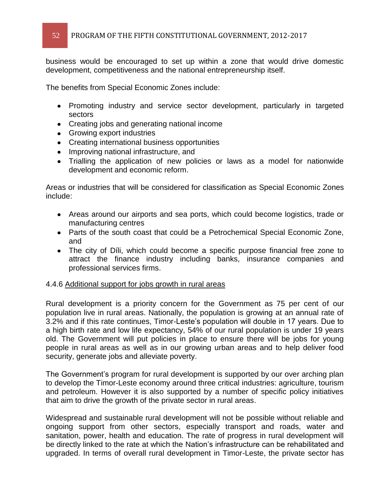business would be encouraged to set up within a zone that would drive domestic development, competitiveness and the national entrepreneurship itself.

The benefits from Special Economic Zones include:

- Promoting industry and service sector development, particularly in targeted sectors
- Creating jobs and generating national income
- Growing export industries
- Creating international business opportunities
- Improving national infrastructure, and
- Trialling the application of new policies or laws as a model for nationwide development and economic reform.

Areas or industries that will be considered for classification as Special Economic Zones include:

- Areas around our airports and sea ports, which could become logistics, trade or manufacturing centres
- Parts of the south coast that could be a Petrochemical Special Economic Zone, and
- The city of Díli, which could become a specific purpose financial free zone to attract the finance industry including banks, insurance companies and professional services firms.

### 4.4.6 Additional support for jobs growth in rural areas

Rural development is a priority concern for the Government as 75 per cent of our population live in rural areas. Nationally, the population is growing at an annual rate of 3.2% and if this rate continues, Timor-Leste's population will double in 17 years. Due to a high birth rate and low life expectancy, 54% of our rural population is under 19 years old. The Government will put policies in place to ensure there will be jobs for young people in rural areas as well as in our growing urban areas and to help deliver food security, generate jobs and alleviate poverty.

The Government's program for rural development is supported by our over arching plan to develop the Timor-Leste economy around three critical industries: agriculture, tourism and petroleum. However it is also supported by a number of specific policy initiatives that aim to drive the growth of the private sector in rural areas.

Widespread and sustainable rural development will not be possible without reliable and ongoing support from other sectors, especially transport and roads, water and sanitation, power, health and education. The rate of progress in rural development will be directly linked to the rate at which the Nation's infrastructure can be rehabilitated and upgraded. In terms of overall rural development in Timor-Leste, the private sector has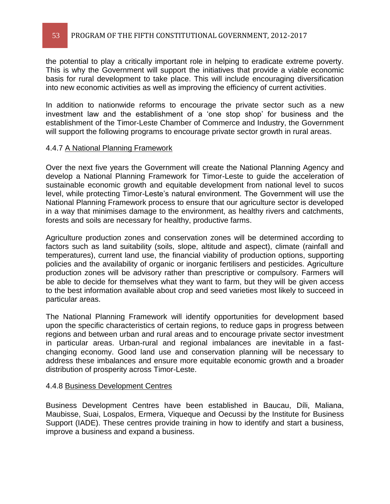the potential to play a critically important role in helping to eradicate extreme poverty. This is why the Government will support the initiatives that provide a viable economic basis for rural development to take place. This will include encouraging diversification into new economic activities as well as improving the efficiency of current activities.

In addition to nationwide reforms to encourage the private sector such as a new investment law and the establishment of a 'one stop shop' for business and the establishment of the Timor-Leste Chamber of Commerce and Industry, the Government will support the following programs to encourage private sector growth in rural areas.

#### 4.4.7 A National Planning Framework

Over the next five years the Government will create the National Planning Agency and develop a National Planning Framework for Timor-Leste to guide the acceleration of sustainable economic growth and equitable development from national level to sucos level, while protecting Timor-Leste's natural environment. The Government will use the National Planning Framework process to ensure that our agriculture sector is developed in a way that minimises damage to the environment, as healthy rivers and catchments, forests and soils are necessary for healthy, productive farms.

Agriculture production zones and conservation zones will be determined according to factors such as land suitability (soils, slope, altitude and aspect), climate (rainfall and temperatures), current land use, the financial viability of production options, supporting policies and the availability of organic or inorganic fertilisers and pesticides. Agriculture production zones will be advisory rather than prescriptive or compulsory. Farmers will be able to decide for themselves what they want to farm, but they will be given access to the best information available about crop and seed varieties most likely to succeed in particular areas.

The National Planning Framework will identify opportunities for development based upon the specific characteristics of certain regions, to reduce gaps in progress between regions and between urban and rural areas and to encourage private sector investment in particular areas. Urban-rural and regional imbalances are inevitable in a fastchanging economy. Good land use and conservation planning will be necessary to address these imbalances and ensure more equitable economic growth and a broader distribution of prosperity across Timor-Leste.

#### 4.4.8 Business Development Centres

Business Development Centres have been established in Baucau, Díli, Maliana, Maubisse, Suai, Lospalos, Ermera, Viqueque and Oecussi by the Institute for Business Support (IADE). These centres provide training in how to identify and start a business, improve a business and expand a business.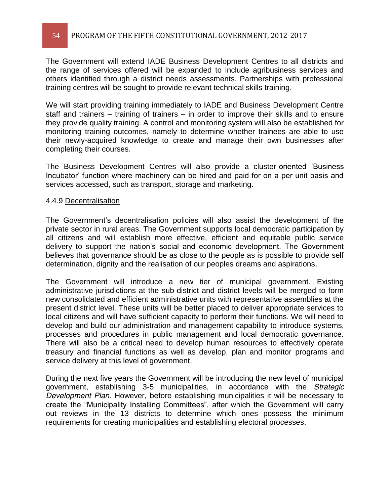### 54 PROGRAM OF THE FIFTH CONSTITUTIONAL GOVERNMENT, 2012-2017

The Government will extend IADE Business Development Centres to all districts and the range of services offered will be expanded to include agribusiness services and others identified through a district needs assessments. Partnerships with professional training centres will be sought to provide relevant technical skills training.

We will start providing training immediately to IADE and Business Development Centre staff and trainers  $-$  training of trainers  $-$  in order to improve their skills and to ensure they provide quality training. A control and monitoring system will also be established for monitoring training outcomes, namely to determine whether trainees are able to use their newly-acquired knowledge to create and manage their own businesses after completing their courses.

The Business Development Centres will also provide a cluster-oriented 'Business Incubator' function where machinery can be hired and paid for on a per unit basis and services accessed, such as transport, storage and marketing.

#### 4.4.9 Decentralisation

The Government's decentralisation policies will also assist the development of the private sector in rural areas. The Government supports local democratic participation by all citizens and will establish more effective, efficient and equitable public service delivery to support the nation's social and economic development. The Government believes that governance should be as close to the people as is possible to provide self determination, dignity and the realisation of our peoples dreams and aspirations.

The Government will introduce a new tier of municipal government. Existing administrative jurisdictions at the sub-district and district levels will be merged to form new consolidated and efficient administrative units with representative assemblies at the present district level. These units will be better placed to deliver appropriate services to local citizens and will have sufficient capacity to perform their functions. We will need to develop and build our administration and management capability to introduce systems, processes and procedures in public management and local democratic governance. There will also be a critical need to develop human resources to effectively operate treasury and financial functions as well as develop, plan and monitor programs and service delivery at this level of government.

During the next five years the Government will be introducing the new level of municipal government, establishing 3-5 municipalities, in accordance with the *Strategic Development Plan*. However, before establishing municipalities it will be necessary to create the "Municipality Installing Committees", after which the Government will carry out reviews in the 13 districts to determine which ones possess the minimum requirements for creating municipalities and establishing electoral processes.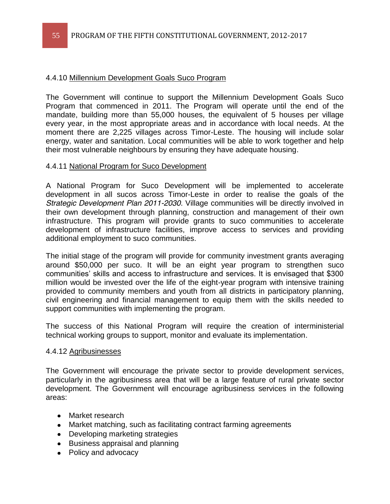### 4.4.10 Millennium Development Goals Suco Program

The Government will continue to support the Millennium Development Goals Suco Program that commenced in 2011. The Program will operate until the end of the mandate, building more than 55,000 houses, the equivalent of 5 houses per village every year, in the most appropriate areas and in accordance with local needs. At the moment there are 2,225 villages across Timor-Leste. The housing will include solar energy, water and sanitation. Local communities will be able to work together and help their most vulnerable neighbours by ensuring they have adequate housing.

### 4.4.11 National Program for Suco Development

A National Program for Suco Development will be implemented to accelerate development in all sucos across Timor-Leste in order to realise the goals of the *Strategic Development Plan 2011-2030*. Village communities will be directly involved in their own development through planning, construction and management of their own infrastructure. This program will provide grants to suco communities to accelerate development of infrastructure facilities, improve access to services and providing additional employment to suco communities.

The initial stage of the program will provide for community investment grants averaging around \$50,000 per suco. It will be an eight year program to strengthen suco communities' skills and access to infrastructure and services. It is envisaged that \$300 million would be invested over the life of the eight-year program with intensive training provided to community members and youth from all districts in participatory planning, civil engineering and financial management to equip them with the skills needed to support communities with implementing the program.

The success of this National Program will require the creation of interministerial technical working groups to support, monitor and evaluate its implementation.

#### 4.4.12 Agribusinesses

The Government will encourage the private sector to provide development services, particularly in the agribusiness area that will be a large feature of rural private sector development. The Government will encourage agribusiness services in the following areas:

- Market research
- Market matching, such as facilitating contract farming agreements
- Developing marketing strategies
- Business appraisal and planning
- Policy and advocacy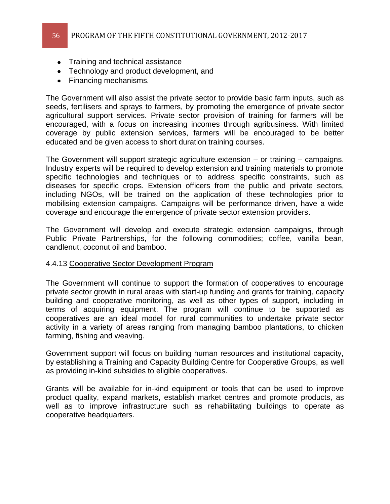- Training and technical assistance
- Technology and product development, and
- Financing mechanisms.

The Government will also assist the private sector to provide basic farm inputs, such as seeds, fertilisers and sprays to farmers, by promoting the emergence of private sector agricultural support services. Private sector provision of training for farmers will be encouraged, with a focus on increasing incomes through agribusiness. With limited coverage by public extension services, farmers will be encouraged to be better educated and be given access to short duration training courses.

The Government will support strategic agriculture extension  $-$  or training  $-$  campaigns. Industry experts will be required to develop extension and training materials to promote specific technologies and techniques or to address specific constraints, such as diseases for specific crops. Extension officers from the public and private sectors, including NGOs, will be trained on the application of these technologies prior to mobilising extension campaigns. Campaigns will be performance driven, have a wide coverage and encourage the emergence of private sector extension providers.

The Government will develop and execute strategic extension campaigns, through Public Private Partnerships, for the following commodities; coffee, vanilla bean, candlenut, coconut oil and bamboo.

### 4.4.13 Cooperative Sector Development Program

The Government will continue to support the formation of cooperatives to encourage private sector growth in rural areas with start-up funding and grants for training, capacity building and cooperative monitoring, as well as other types of support, including in terms of acquiring equipment. The program will continue to be supported as cooperatives are an ideal model for rural communities to undertake private sector activity in a variety of areas ranging from managing bamboo plantations, to chicken farming, fishing and weaving.

Government support will focus on building human resources and institutional capacity, by establishing a Training and Capacity Building Centre for Cooperative Groups, as well as providing in-kind subsidies to eligible cooperatives.

Grants will be available for in-kind equipment or tools that can be used to improve product quality, expand markets, establish market centres and promote products, as well as to improve infrastructure such as rehabilitating buildings to operate as cooperative headquarters.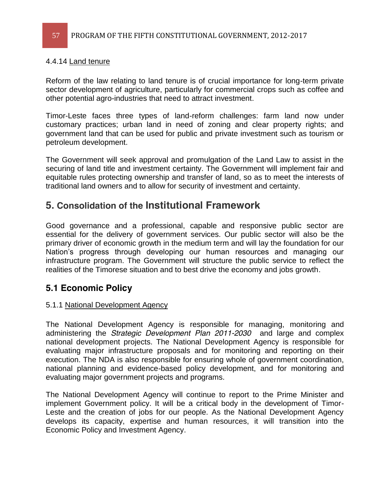### 4.4.14 Land tenure

Reform of the law relating to land tenure is of crucial importance for long-term private sector development of agriculture, particularly for commercial crops such as coffee and other potential agro-industries that need to attract investment.

Timor-Leste faces three types of land-reform challenges: farm land now under customary practices; urban land in need of zoning and clear property rights; and government land that can be used for public and private investment such as tourism or petroleum development.

The Government will seek approval and promulgation of the Land Law to assist in the securing of land title and investment certainty. The Government will implement fair and equitable rules protecting ownership and transfer of land, so as to meet the interests of traditional land owners and to allow for security of investment and certainty.

# **5. Consolidation of the Institutional Framework**

Good governance and a professional, capable and responsive public sector are essential for the delivery of government services. Our public sector will also be the primary driver of economic growth in the medium term and will lay the foundation for our Nation's progress through developing our human resources and managing our infrastructure program. The Government will structure the public service to reflect the realities of the Timorese situation and to best drive the economy and jobs growth.

### **5.1 Economic Policy**

### 5.1.1 National Development Agency

The National Development Agency is responsible for managing, monitoring and administering the *Strategic Development Plan 2011-2030* and large and complex national development projects. The National Development Agency is responsible for evaluating major infrastructure proposals and for monitoring and reporting on their execution. The NDA is also responsible for ensuring whole of government coordination, national planning and evidence-based policy development, and for monitoring and evaluating major government projects and programs.

The National Development Agency will continue to report to the Prime Minister and implement Government policy. It will be a critical body in the development of Timor-Leste and the creation of jobs for our people. As the National Development Agency develops its capacity, expertise and human resources, it will transition into the Economic Policy and Investment Agency.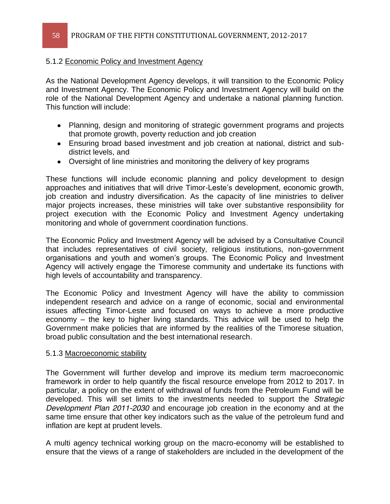### 5.1.2 Economic Policy and Investment Agency

As the National Development Agency develops, it will transition to the Economic Policy and Investment Agency. The Economic Policy and Investment Agency will build on the role of the National Development Agency and undertake a national planning function. This function will include:

- Planning, design and monitoring of strategic government programs and projects that promote growth, poverty reduction and job creation
- Ensuring broad based investment and job creation at national, district and subdistrict levels, and
- Oversight of line ministries and monitoring the delivery of key programs

These functions will include economic planning and policy development to design approaches and initiatives that will drive Timor-Leste's development, economic growth, job creation and industry diversification. As the capacity of line ministries to deliver major projects increases, these ministries will take over substantive responsibility for project execution with the Economic Policy and Investment Agency undertaking monitoring and whole of government coordination functions.

The Economic Policy and Investment Agency will be advised by a Consultative Council that includes representatives of civil society, religious institutions, non-government organisations and youth and women's groups. The Economic Policy and Investment Agency will actively engage the Timorese community and undertake its functions with high levels of accountability and transparency.

The Economic Policy and Investment Agency will have the ability to commission independent research and advice on a range of economic, social and environmental issues affecting Timor-Leste and focused on ways to achieve a more productive economy  $-$  the key to higher living standards. This advice will be used to help the Government make policies that are informed by the realities of the Timorese situation, broad public consultation and the best international research.

#### 5.1.3 Macroeconomic stability

The Government will further develop and improve its medium term macroeconomic framework in order to help quantify the fiscal resource envelope from 2012 to 2017. In particular, a policy on the extent of withdrawal of funds from the Petroleum Fund will be developed. This will set limits to the investments needed to support the *Strategic Development Plan 2011-2030* and encourage job creation in the economy and at the same time ensure that other key indicators such as the value of the petroleum fund and inflation are kept at prudent levels.

A multi agency technical working group on the macro-economy will be established to ensure that the views of a range of stakeholders are included in the development of the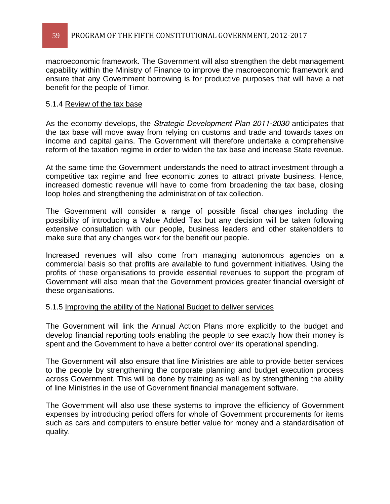59 PROGRAM OF THE FIFTH CONSTITUTIONAL GOVERNMENT, 2012-2017

macroeconomic framework. The Government will also strengthen the debt management capability within the Ministry of Finance to improve the macroeconomic framework and ensure that any Government borrowing is for productive purposes that will have a net benefit for the people of Timor.

### 5.1.4 Review of the tax base

As the economy develops, the *Strategic Development Plan 2011-2030* anticipates that the tax base will move away from relying on customs and trade and towards taxes on income and capital gains. The Government will therefore undertake a comprehensive reform of the taxation regime in order to widen the tax base and increase State revenue.

At the same time the Government understands the need to attract investment through a competitive tax regime and free economic zones to attract private business. Hence, increased domestic revenue will have to come from broadening the tax base, closing loop holes and strengthening the administration of tax collection.

The Government will consider a range of possible fiscal changes including the possibility of introducing a Value Added Tax but any decision will be taken following extensive consultation with our people, business leaders and other stakeholders to make sure that any changes work for the benefit our people.

Increased revenues will also come from managing autonomous agencies on a commercial basis so that profits are available to fund government initiatives. Using the profits of these organisations to provide essential revenues to support the program of Government will also mean that the Government provides greater financial oversight of these organisations.

### 5.1.5 Improving the ability of the National Budget to deliver services

The Government will link the Annual Action Plans more explicitly to the budget and develop financial reporting tools enabling the people to see exactly how their money is spent and the Government to have a better control over its operational spending.

The Government will also ensure that line Ministries are able to provide better services to the people by strengthening the corporate planning and budget execution process across Government. This will be done by training as well as by strengthening the ability of line Ministries in the use of Government financial management software.

The Government will also use these systems to improve the efficiency of Government expenses by introducing period offers for whole of Government procurements for items such as cars and computers to ensure better value for money and a standardisation of quality.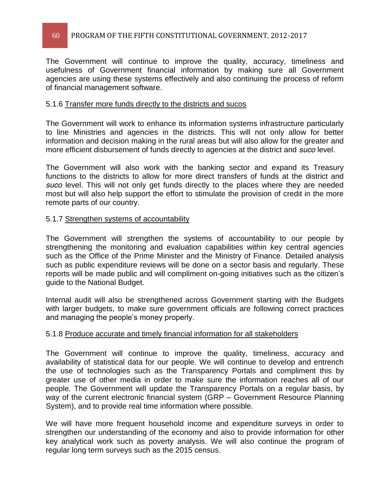### 60 PROGRAM OF THE FIFTH CONSTITUTIONAL GOVERNMENT, 2012-2017

The Government will continue to improve the quality, accuracy, timeliness and usefulness of Government financial information by making sure all Government agencies are using these systems effectively and also continuing the process of reform of financial management software.

### 5.1.6 Transfer more funds directly to the districts and sucos

The Government will work to enhance its information systems infrastructure particularly to line Ministries and agencies in the districts. This will not only allow for better information and decision making in the rural areas but will also allow for the greater and more efficient disbursement of funds directly to agencies at the district and *suco* level.

The Government will also work with the banking sector and expand its Treasury functions to the districts to allow for more direct transfers of funds at the district and *suco* level. This will not only get funds directly to the places where they are needed most but will also help support the effort to stimulate the provision of credit in the more remote parts of our country.

### 5.1.7 Strengthen systems of accountability

The Government will strengthen the systems of accountability to our people by strengthening the monitoring and evaluation capabilities within key central agencies such as the Office of the Prime Minister and the Ministry of Finance. Detailed analysis such as public expenditure reviews will be done on a sector basis and regularly. These reports will be made public and will compliment on-going initiatives such as the citizen's guide to the National Budget.

Internal audit will also be strengthened across Government starting with the Budgets with larger budgets, to make sure government officials are following correct practices and managing the people's money properly.

### 5.1.8 Produce accurate and timely financial information for all stakeholders

The Government will continue to improve the quality, timeliness, accuracy and availability of statistical data for our people. We will continue to develop and entrench the use of technologies such as the Transparency Portals and compliment this by greater use of other media in order to make sure the information reaches all of our people. The Government will update the Transparency Portals on a regular basis, by way of the current electronic financial system (GRP - Government Resource Planning System), and to provide real time information where possible.

We will have more frequent household income and expenditure surveys in order to strengthen our understanding of the economy and also to provide information for other key analytical work such as poverty analysis. We will also continue the program of regular long term surveys such as the 2015 census.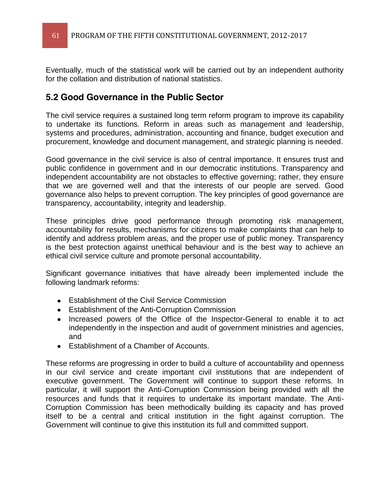Eventually, much of the statistical work will be carried out by an independent authority for the collation and distribution of national statistics.

### **5.2 Good Governance in the Public Sector**

The civil service requires a sustained long term reform program to improve its capability to undertake its functions. Reform in areas such as management and leadership, systems and procedures, administration, accounting and finance, budget execution and procurement, knowledge and document management, and strategic planning is needed.

Good governance in the civil service is also of central importance. It ensures trust and public confidence in government and in our democratic institutions. Transparency and independent accountability are not obstacles to effective governing; rather, they ensure that we are governed well and that the interests of our people are served. Good governance also helps to prevent corruption. The key principles of good governance are transparency, accountability, integrity and leadership.

These principles drive good performance through promoting risk management, accountability for results, mechanisms for citizens to make complaints that can help to identify and address problem areas, and the proper use of public money. Transparency is the best protection against unethical behaviour and is the best way to achieve an ethical civil service culture and promote personal accountability.

Significant governance initiatives that have already been implemented include the following landmark reforms:

- **Establishment of the Civil Service Commission**
- Establishment of the Anti-Corruption Commission
- Increased powers of the Office of the Inspector-General to enable it to act independently in the inspection and audit of government ministries and agencies, and
- Establishment of a Chamber of Accounts.

These reforms are progressing in order to build a culture of accountability and openness in our civil service and create important civil institutions that are independent of executive government. The Government will continue to support these reforms. In particular, it will support the Anti-Corruption Commission being provided with all the resources and funds that it requires to undertake its important mandate. The Anti-Corruption Commission has been methodically building its capacity and has proved itself to be a central and critical institution in the fight against corruption. The Government will continue to give this institution its full and committed support.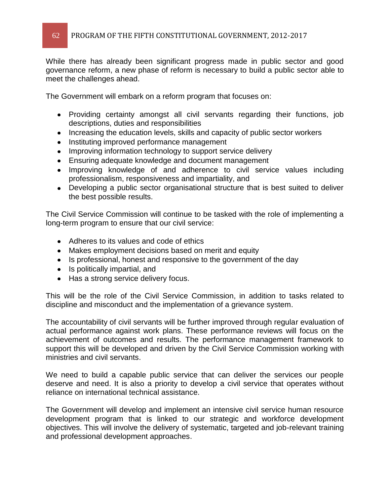While there has already been significant progress made in public sector and good governance reform, a new phase of reform is necessary to build a public sector able to meet the challenges ahead.

The Government will embark on a reform program that focuses on:

- Providing certainty amongst all civil servants regarding their functions, job descriptions, duties and responsibilities
- Increasing the education levels, skills and capacity of public sector workers
- Instituting improved performance management
- Improving information technology to support service delivery
- Ensuring adequate knowledge and document management
- Improving knowledge of and adherence to civil service values including professionalism, responsiveness and impartiality, and
- Developing a public sector organisational structure that is best suited to deliver the best possible results.

The Civil Service Commission will continue to be tasked with the role of implementing a long-term program to ensure that our civil service:

- Adheres to its values and code of ethics
- Makes employment decisions based on merit and equity
- Is professional, honest and responsive to the government of the day
- Is politically impartial, and
- Has a strong service delivery focus.

This will be the role of the Civil Service Commission, in addition to tasks related to discipline and misconduct and the implementation of a grievance system.

The accountability of civil servants will be further improved through regular evaluation of actual performance against work plans. These performance reviews will focus on the achievement of outcomes and results. The performance management framework to support this will be developed and driven by the Civil Service Commission working with ministries and civil servants.

We need to build a capable public service that can deliver the services our people deserve and need. It is also a priority to develop a civil service that operates without reliance on international technical assistance.

The Government will develop and implement an intensive civil service human resource development program that is linked to our strategic and workforce development objectives. This will involve the delivery of systematic, targeted and job-relevant training and professional development approaches.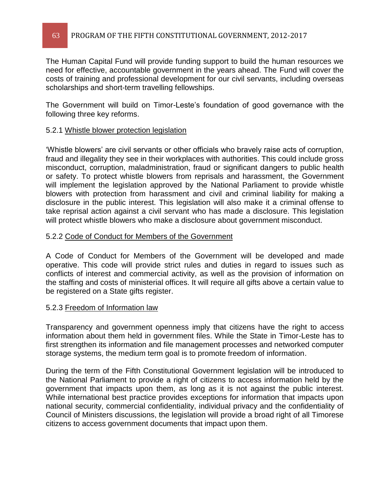The Human Capital Fund will provide funding support to build the human resources we need for effective, accountable government in the years ahead. The Fund will cover the costs of training and professional development for our civil servants, including overseas scholarships and short-term travelling fellowships.

The Government will build on Timor-Leste's foundation of good governance with the following three key reforms.

### 5.2.1 Whistle blower protection legislation

Whistle blowers' are civil servants or other officials who bravely raise acts of corruption, fraud and illegality they see in their workplaces with authorities. This could include gross misconduct, corruption, maladministration, fraud or significant dangers to public health or safety. To protect whistle blowers from reprisals and harassment, the Government will implement the legislation approved by the National Parliament to provide whistle blowers with protection from harassment and civil and criminal liability for making a disclosure in the public interest. This legislation will also make it a criminal offense to take reprisal action against a civil servant who has made a disclosure. This legislation will protect whistle blowers who make a disclosure about government misconduct.

### 5.2.2 Code of Conduct for Members of the Government

A Code of Conduct for Members of the Government will be developed and made operative. This code will provide strict rules and duties in regard to issues such as conflicts of interest and commercial activity, as well as the provision of information on the staffing and costs of ministerial offices. It will require all gifts above a certain value to be registered on a State gifts register.

### 5.2.3 Freedom of Information law

Transparency and government openness imply that citizens have the right to access information about them held in government files. While the State in Timor-Leste has to first strengthen its information and file management processes and networked computer storage systems, the medium term goal is to promote freedom of information.

During the term of the Fifth Constitutional Government legislation will be introduced to the National Parliament to provide a right of citizens to access information held by the government that impacts upon them, as long as it is not against the public interest. While international best practice provides exceptions for information that impacts upon national security, commercial confidentiality, individual privacy and the confidentiality of Council of Ministers discussions, the legislation will provide a broad right of all Timorese citizens to access government documents that impact upon them.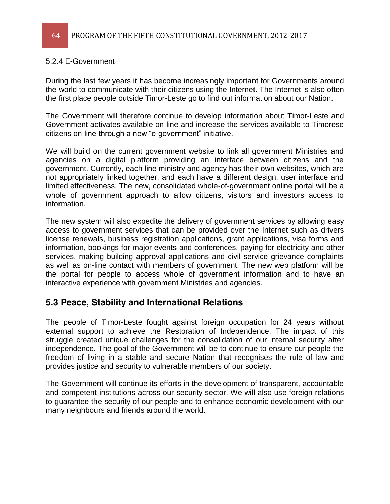### 5.2.4 E-Government

During the last few years it has become increasingly important for Governments around the world to communicate with their citizens using the Internet. The Internet is also often the first place people outside Timor-Leste go to find out information about our Nation.

The Government will therefore continue to develop information about Timor-Leste and Government activates available on-line and increase the services available to Timorese citizens on-line through a new "e-government" initiative.

We will build on the current government website to link all government Ministries and agencies on a digital platform providing an interface between citizens and the government. Currently, each line ministry and agency has their own websites, which are not appropriately linked together, and each have a different design, user interface and limited effectiveness. The new, consolidated whole-of-government online portal will be a whole of government approach to allow citizens, visitors and investors access to information.

The new system will also expedite the delivery of government services by allowing easy access to government services that can be provided over the Internet such as drivers license renewals, business registration applications, grant applications, visa forms and information, bookings for major events and conferences, paying for electricity and other services, making building approval applications and civil service grievance complaints as well as on-line contact with members of government. The new web platform will be the portal for people to access whole of government information and to have an interactive experience with government Ministries and agencies.

### **5.3 Peace, Stability and International Relations**

The people of Timor-Leste fought against foreign occupation for 24 years without external support to achieve the Restoration of Independence. The impact of this struggle created unique challenges for the consolidation of our internal security after independence. The goal of the Government will be to continue to ensure our people the freedom of living in a stable and secure Nation that recognises the rule of law and provides justice and security to vulnerable members of our society.

The Government will continue its efforts in the development of transparent, accountable and competent institutions across our security sector. We will also use foreign relations to guarantee the security of our people and to enhance economic development with our many neighbours and friends around the world.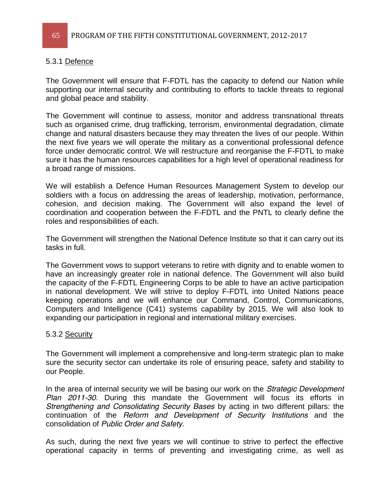### 5.3.1 Defence

The Government will ensure that F-FDTL has the capacity to defend our Nation while supporting our internal security and contributing to efforts to tackle threats to regional and global peace and stability.

The Government will continue to assess, monitor and address transnational threats such as organised crime, drug trafficking, terrorism, environmental degradation, climate change and natural disasters because they may threaten the lives of our people. Within the next five years we will operate the military as a conventional professional defence force under democratic control. We will restructure and reorganise the F-FDTL to make sure it has the human resources capabilities for a high level of operational readiness for a broad range of missions.

We will establish a Defence Human Resources Management System to develop our soldiers with a focus on addressing the areas of leadership, motivation, performance, cohesion, and decision making. The Government will also expand the level of coordination and cooperation between the F-FDTL and the PNTL to clearly define the roles and responsibilities of each.

The Government will strengthen the National Defence Institute so that it can carry out its tasks in full.

The Government vows to support veterans to retire with dignity and to enable women to have an increasingly greater role in national defence. The Government will also build the capacity of the F-FDTL Engineering Corps to be able to have an active participation in national development. We will strive to deploy F-FDTL into United Nations peace keeping operations and we will enhance our Command, Control, Communications, Computers and Intelligence (C41) systems capability by 2015. We will also look to expanding our participation in regional and international military exercises.

### 5.3.2 Security

The Government will implement a comprehensive and long-term strategic plan to make sure the security sector can undertake its role of ensuring peace, safety and stability to our People.

In the area of internal security we will be basing our work on the *Strategic Development Plan 2011-30*. During this mandate the Government will focus its efforts in *Strengthening and Consolidating Security Bases* by acting in two different pillars: the continuation of the *Reform and Development of Security Institutions* and the consolidation of *Public Order and Safety*.

As such, during the next five years we will continue to strive to perfect the effective operational capacity in terms of preventing and investigating crime, as well as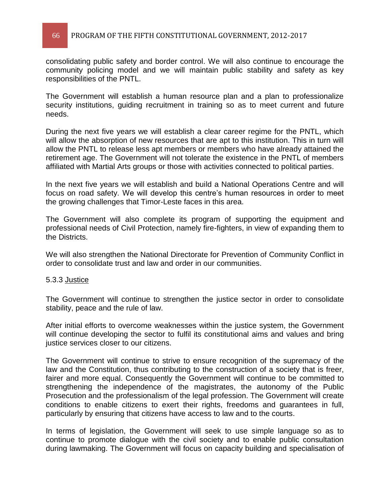### 66 PROGRAM OF THE FIFTH CONSTITUTIONAL GOVERNMENT, 2012-2017

consolidating public safety and border control. We will also continue to encourage the community policing model and we will maintain public stability and safety as key responsibilities of the PNTL.

The Government will establish a human resource plan and a plan to professionalize security institutions, quiding recruitment in training so as to meet current and future needs.

During the next five years we will establish a clear career regime for the PNTL, which will allow the absorption of new resources that are apt to this institution. This in turn will allow the PNTL to release less apt members or members who have already attained the retirement age. The Government will not tolerate the existence in the PNTL of members affiliated with Martial Arts groups or those with activities connected to political parties.

In the next five years we will establish and build a National Operations Centre and will focus on road safety. We will develop this centre's human resources in order to meet the growing challenges that Timor-Leste faces in this area.

The Government will also complete its program of supporting the equipment and professional needs of Civil Protection, namely fire-fighters, in view of expanding them to the Districts.

We will also strengthen the National Directorate for Prevention of Community Conflict in order to consolidate trust and law and order in our communities.

#### 5.3.3 Justice

The Government will continue to strengthen the justice sector in order to consolidate stability, peace and the rule of law.

After initial efforts to overcome weaknesses within the justice system, the Government will continue developing the sector to fulfil its constitutional aims and values and bring justice services closer to our citizens.

The Government will continue to strive to ensure recognition of the supremacy of the law and the Constitution, thus contributing to the construction of a society that is freer, fairer and more equal. Consequently the Government will continue to be committed to strengthening the independence of the magistrates, the autonomy of the Public Prosecution and the professionalism of the legal profession. The Government will create conditions to enable citizens to exert their rights, freedoms and guarantees in full, particularly by ensuring that citizens have access to law and to the courts.

In terms of legislation, the Government will seek to use simple language so as to continue to promote dialogue with the civil society and to enable public consultation during lawmaking. The Government will focus on capacity building and specialisation of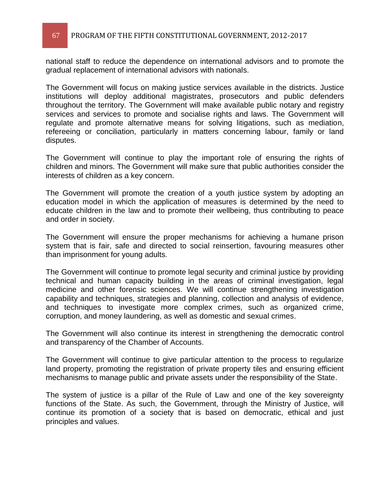national staff to reduce the dependence on international advisors and to promote the gradual replacement of international advisors with nationals.

The Government will focus on making justice services available in the districts. Justice institutions will deploy additional magistrates, prosecutors and public defenders throughout the territory. The Government will make available public notary and registry services and services to promote and socialise rights and laws. The Government will regulate and promote alternative means for solving litigations, such as mediation, refereeing or conciliation, particularly in matters concerning labour, family or land disputes.

The Government will continue to play the important role of ensuring the rights of children and minors. The Government will make sure that public authorities consider the interests of children as a key concern.

The Government will promote the creation of a youth justice system by adopting an education model in which the application of measures is determined by the need to educate children in the law and to promote their wellbeing, thus contributing to peace and order in society.

The Government will ensure the proper mechanisms for achieving a humane prison system that is fair, safe and directed to social reinsertion, favouring measures other than imprisonment for young adults.

The Government will continue to promote legal security and criminal justice by providing technical and human capacity building in the areas of criminal investigation, legal medicine and other forensic sciences. We will continue strengthening investigation capability and techniques, strategies and planning, collection and analysis of evidence, and techniques to investigate more complex crimes, such as organized crime, corruption, and money laundering, as well as domestic and sexual crimes.

The Government will also continue its interest in strengthening the democratic control and transparency of the Chamber of Accounts.

The Government will continue to give particular attention to the process to regularize land property, promoting the registration of private property tiles and ensuring efficient mechanisms to manage public and private assets under the responsibility of the State.

The system of justice is a pillar of the Rule of Law and one of the key sovereignty functions of the State. As such, the Government, through the Ministry of Justice, will continue its promotion of a society that is based on democratic, ethical and just principles and values.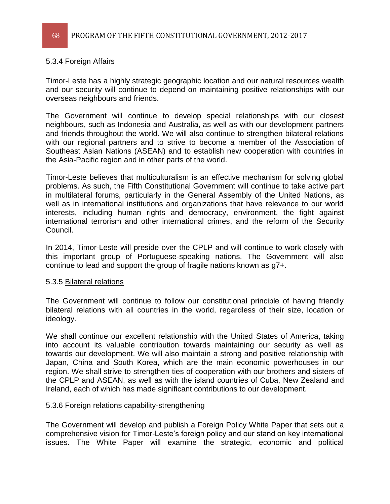### 5.3.4 Foreign Affairs

Timor-Leste has a highly strategic geographic location and our natural resources wealth and our security will continue to depend on maintaining positive relationships with our overseas neighbours and friends.

The Government will continue to develop special relationships with our closest neighbours, such as Indonesia and Australia, as well as with our development partners and friends throughout the world. We will also continue to strengthen bilateral relations with our regional partners and to strive to become a member of the Association of Southeast Asian Nations (ASEAN) and to establish new cooperation with countries in the Asia-Pacific region and in other parts of the world.

Timor-Leste believes that multiculturalism is an effective mechanism for solving global problems. As such, the Fifth Constitutional Government will continue to take active part in multilateral forums, particularly in the General Assembly of the United Nations, as well as in international institutions and organizations that have relevance to our world interests, including human rights and democracy, environment, the fight against international terrorism and other international crimes, and the reform of the Security Council.

In 2014, Timor-Leste will preside over the CPLP and will continue to work closely with this important group of Portuguese-speaking nations. The Government will also continue to lead and support the group of fragile nations known as g7+.

### 5.3.5 Bilateral relations

The Government will continue to follow our constitutional principle of having friendly bilateral relations with all countries in the world, regardless of their size, location or ideology.

We shall continue our excellent relationship with the United States of America, taking into account its valuable contribution towards maintaining our security as well as towards our development. We will also maintain a strong and positive relationship with Japan, China and South Korea, which are the main economic powerhouses in our region. We shall strive to strengthen ties of cooperation with our brothers and sisters of the CPLP and ASEAN, as well as with the island countries of Cuba, New Zealand and Ireland, each of which has made significant contributions to our development.

### 5.3.6 Foreign relations capability-strengthening

The Government will develop and publish a Foreign Policy White Paper that sets out a comprehensive vision for Timor-Leste's foreign policy and our stand on key international issues. The White Paper will examine the strategic, economic and political